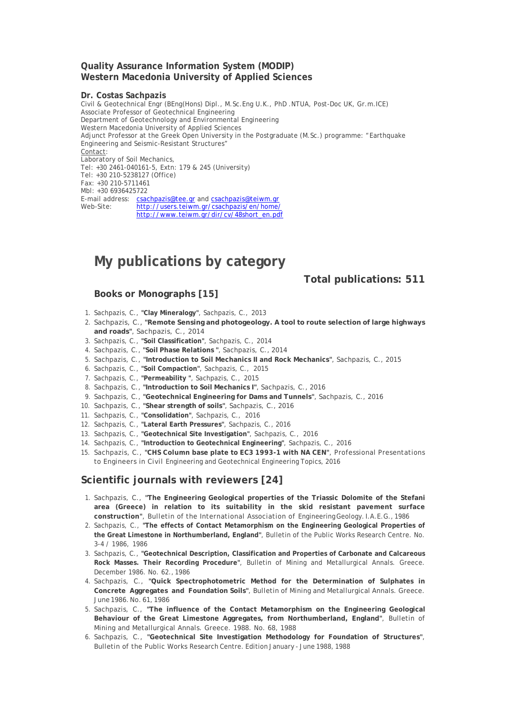#### **Quality Assurance Information System (MODIP) Western Macedonia University of Applied Sciences**

#### **Dr. Costas Sachpazis**

Civil & Geotechnical Engr (BEng(Hons) Dipl., M.Sc.Eng U.K., PhD .NTUA, Post-Doc UK, Gr.m.ICE) Associate Professor of Geotechnical Engineering Department of Geotechnology and Environmental Engineering Western Macedonia University of Applied Sciences Adjunct Professor at the Greek Open University in the Postgraduate (M.Sc.) programme: "Earthquake Engineering and Seismic-Resistant Structures" Contact: Laboratory of Soil Mechanics, Tel: +30 2461-040161-5, Extn: 179 & 245 (University) Tel: +30 210-5238127 (Office) Fax: +30 210-5711461 Mbl: +30 6936425722 E-mail address: csachpazis@tee.gr and csachpazis@teiwm.gr Web-Site: http://users.teiwm.gr/csachpazis/en/home/ http://www.teiwm.gr/dir/cv/48short\_en.pdf

# **My publications by category**

### **Total publications: 511**

## **Books or Monographs [15]**

- 1. Sachpazis, C., **"Clay Mineralogy"**, Sachpazis, C., 2013
- 2. Sachpazis, C., **"Remote Sensing and photogeology. A tool to route selection of large highways and roads"**, Sachpazis, C., 2014
- 3. Sachpazis, C., **"Soil Classification"**, Sachpazis, C., 2014
- 4. Sachpazis, C., **"Soil Phase Relations "**, Sachpazis, C., 2014
- 5. Sachpazis, C., **"Introduction to Soil Mechanics II and Rock Mechanics"**, Sachpazis, C., 2015
- 6. Sachpazis, C., **"Soil Compaction"**, Sachpazis, C., 2015
- 7. Sachpazis, C., **"Permeability "**, Sachpazis, C., 2015
- 8. Sachpazis, C., **"Introduction to Soil Mechanics I"**, Sachpazis, C., 2016
- 9. Sachpazis, C., **"Geotechnical Engineering for Dams and Tunnels"**, Sachpazis, C., 2016
- 10. Sachpazis, C., **"Shear strength of soils"**, Sachpazis, C., 2016
- 11. Sachpazis, C., **"Consolidation"**, Sachpazis, C., 2016
- 12. Sachpazis, C., **"Lateral Earth Pressures"**, Sachpazis, C., 2016
- 13. Sachpazis, C., **"Geotechnical Site Investigation"**, Sachpazis, C., 2016
- 14. Sachpazis, C., **"Introduction to Geotechnical Engineering"**, Sachpazis, C., 2016
- 15. Sachpazis, C., **"CHS Column base plate to EC3 1993-1 with NA CEN"**, Professional Presentations to Engineers in Civil Engineering and Geotechnical Engineering Topics, 2016

## **Scientific journals with reviewers [24]**

- 1. Sachpazis, C., **"The Engineering Geological properties of the Triassic Dolomite of the Stefani area (Greece) in relation to its suitability in the skid resistant pavement surface construction"**, Bulletin of the International Association of Engineering Geology. I.A.E.G., 1986
- 2. Sachpazis, C., **"The effects of Contact Metamorphism on the Engineering Geological Properties of the Great Limestone in Northumberland, England"**, Bulletin of the Public Works Research Centre. No. 3-4 / 1986, 1986
- 3. Sachpazis, C., **"Geotechnical Description, Classification and Properties of Carbonate and Calcareous Rock Masses. Their Recording Procedure"**, Bulletin of Mining and Metallurgical Annals. Greece. December 1986. No. 62., 1986
- 4. Sachpazis, C., **"Quick Spectrophotometric Method for the Determination of Sulphates in Concrete Aggregates and Foundation Soils"**, Bulletin of Mining and Metallurgical Annals. Greece. June 1986. No. 61, 1986
- 5. Sachpazis, C., **"The influence of the Contact Metamorphism on the Engineering Geological Behaviour of the Great Limestone Aggregates, from Northumberland, England"**, Bulletin of Mining and Metallurgical Annals. Greece. 1988. No. 68, 1988
- 6. Sachpazis, C., **"Geotechnical Site Investigation Methodology for Foundation of Structures"**, Bulletin of the Public Works Research Centre. Edition January - June 1988, 1988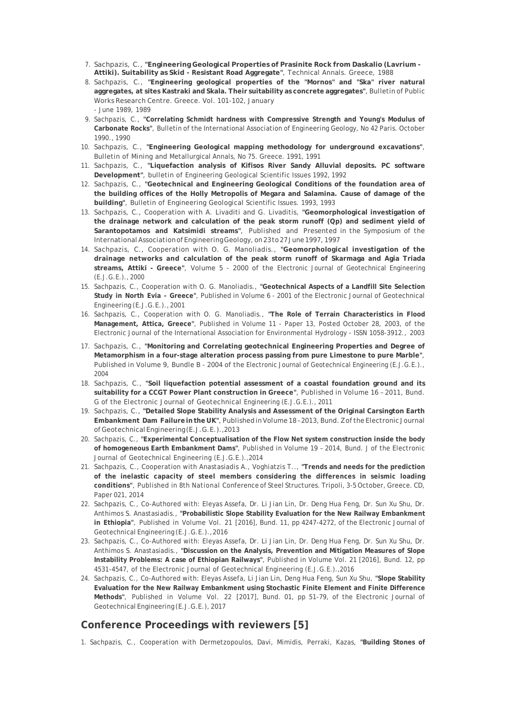- 7. Sachpazis, C., **"Engineering Geological Properties of Prasinite Rock from Daskalio (Lavrium Attiki). Suitability as Skid - Resistant Road Aggregate"**, Technical Annals. Greece, 1988
- 8. Sachpazis, C., **"Engineering geological properties of the "Mornos" and "Ska" river natural aggregates, at sites Kastraki and Skala. Their suitability as concrete aggregates"**, Bulletin of Public Works Research Centre. Greece. Vol. 101-102, January - June 1989, 1989
- 9. Sachpazis, C., **"Correlating Schmidt hardness with Compressive Strength and Young's Modulus of Carbonate Rocks"**, Bulletin of the International Association of Engineering Geology, No 42 Paris. October 1990., 1990
- 10. Sachpazis, C., **"Engineering Geological mapping methodology for underground excavations"**, Bulletin of Mining and Metallurgical Annals, No 75. Greece. 1991, 1991
- 11. Sachpazis, C., **"Liquefaction analysis of Kifisos River Sandy Alluvial deposits. PC software Development"**, bulletin of Engineering Geological Scientific Issues 1992, 1992
- 12. Sachpazis, C., **"Geotechnical and Engineering Geological Conditions of the foundation area of the building offices of the Holly Metropolis of Megara and Salamina. Cause of damage of the building"**, Bulletin of Engineering Geological Scientific Issues. 1993, 1993
- 13. Sachpazis, C., Cooperation with A. Livaditi and G. Livaditis, **"Geomorphological investigation of the drainage network and calculation of the peak storm runoff (Qp) and sediment yield of Sarantopotamos and Katsimidi streams"**, Published and Presented in the Symposium of the International Association of Engineering Geology, on 23 to 27 June 1997, 1997
- 14. Sachpazis, C., Cooperation with O. G. Manoliadis., **"Geomorphological investigation of the drainage networks and calculation of the peak storm runoff of Skarmaga and Agia Triada streams, Attiki - Greece"**, Volume 5 - 2000 of the Electronic Journal of Geotechnical Engineering (E.J.G.E.)., 2000
- 15. Sachpazis, C., Cooperation with O. G. Manoliadis., **"Geotechnical Aspects of a Landfill Site Selection Study in North Evia - Greece"**, Published in Volume 6 - 2001 of the Electronic Journal of Geotechnical Engineering (E.J.G.E.)., 2001
- 16. Sachpazis, C., Cooperation with O. G. Manoliadis., **"The Role of Terrain Characteristics in Flood Management, Attica, Greece"**, Published in Volume 11 - Paper 13, Posted October 28, 2003, of the Electronic Journal of the International Association for Environmental Hydrology - ISSN 1058-3912., 2003
- 17. Sachpazis, C., **"Monitoring and Correlating geotechnical Engineering Properties and Degree of Metamorphism in a four-stage alteration process passing from pure Limestone to pure Marble"**, Published in Volume 9, Bundle B - 2004 of the Electronic Journal of Geotechnical Engineering (E.J.G.E.)., 2004
- 18. Sachpazis, C., **"Soil liquefaction potential assessment of a coastal foundation ground and its suitability for a CCGT Power Plant construction in Greece"**, Published in Volume 16 – 2011, Bund. G of the Electronic Journal of Geotechnical Engineering (E.J.G.E.)., 2011
- 19. Sachpazis, C., **"Detailed Slope Stability Analysis and Assessment of the Original Carsington Earth Embankment Dam Failure in the UK"**, Published in Volume 18 – 2013, Bund. Z of the Electronic Journal of Geotechnical Engineering (E.J.G.E.)., 2013
- 20. Sachpazis, C., **"Experimental Conceptualisation of the Flow Net system construction inside the body of homogeneous Earth Embankment Dams"**, Published in Volume 19 – 2014, Bund. J of the Electronic Journal of Geotechnical Engineering (E.J.G.E.)., 2014
- 21. Sachpazis, C., Cooperation with Anastasiadis A., Voghiatzis T.., **"Trends and needs for the prediction of the inelastic capacity of steel members considering the differences in seismic loading conditions"**, Published in 8th National Conference of Steel Structures. Tripoli, 3-5 October, Greece. CD, Paper 021, 2014
- 22. Sachpazis, C., Co-Authored with: Eleyas Assefa, Dr. Li Jian Lin, Dr. Deng Hua Feng, Dr. Sun Xu Shu, Dr. Anthimos S. Anastasiadis., **"Probabilistic Slope Stability Evaluation for the New Railway Embankment in Ethiopia"**, Published in Volume Vol. 21 [2016], Bund. 11, pp 4247-4272, of the Electronic Journal of Geotechnical Engineering (E.J.G.E.)., 2016
- 23. Sachpazis, C., Co-Authored with: Eleyas Assefa, Dr. Li Jian Lin, Dr. Deng Hua Feng, Dr. Sun Xu Shu, Dr. Anthimos S. Anastasiadis., **"Discussion on the Analysis, Prevention and Mitigation Measures of Slope Instability Problems: A case of Ethiopian Railways"**, Published in Volume Vol. 21 [2016], Bund. 12, pp 4531-4547, of the Electronic Journal of Geotechnical Engineering (E.J.G.E.)., 2016
- 24. Sachpazis, C., Co-Authored with: Eleyas Assefa, Li Jian Lin, Deng Hua Feng, Sun Xu Shu, **"Slope Stability Evaluation for the New Railway Embankment using Stochastic Finite Element and Finite Difference Methods"**, Published in Volume Vol. 22 [2017], Bund. 01, pp 51-79, of the Electronic Journal of Geotechnical Engineering (E.J.G.E.), 2017

## **Conference Proceedings with reviewers [5]**

1. Sachpazis, C., Cooperation with Dermetzopoulos, Davi, Mimidis, Perraki, Kazas, **"Building Stones of**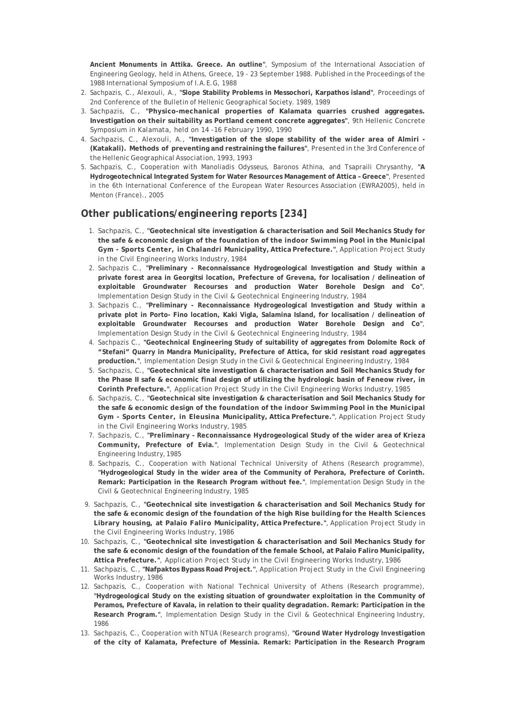**Ancient Monuments in Attika. Greece. An outline"**, Symposium of the International Association of Engineering Geology, held in Athens, Greece, 19 - 23 September 1988. Published in the Proceedings of the 1988 International Symposium of I.A.E.G, 1988

- 2. Sachpazis, C., Alexouli, A., **"Slope Stability Problems in Messochori, Karpathos island"**, Proceedings of 2nd Conference of the Bulletin of Hellenic Geographical Society. 1989, 1989
- 3. Sachpazis, C., **"Physico-mechanical properties of Kalamata quarries crushed aggregates. Investigation on their suitability as Portland cement concrete aggregates"**, 9th Hellenic Concrete Symposium in Kalamata, held on 14 -16 February 1990, 1990
- 4. Sachpazis, C., Alexouli, A., **"Investigation of the slope stability of the wider area of Almiri (Katakali). Methods of preventing and restraining the failures"**, Presented in the 3rd Conference of the Hellenic Geographical Association, 1993, 1993
- 5. Sachpazis, C., Cooperation with Manoliadis Odysseus, Baronos Athina, and Tsapraili Chrysanthy, **"A Hydrogeotechnical Integrated System for Water Resources Management of Attica – Greece"**, Presented in the 6th International Conference of the European Water Resources Association (EWRA2005), held in Menton (France)., 2005

# **Other publications/engineering reports [234]**

- 1. Sachpazis, C., **"Geotechnical site investigation & characterisation and Soil Mechanics Study for the safe & economic design of the foundation of the indoor Swimming Pool in the Municipal Gym - Sports Center, in Chalandri Municipality, Attica Prefecture."**, Application Project Study in the Civil Engineering Works Industry, 1984
- 2. Sachpazis C., **"Preliminary Reconnaissance Hydrogeological Investigation and Study within a private forest area in Georgitsi location, Prefecture of Grevena, for localisation / delineation of exploitable Groundwater Recourses and production Water Borehole Design and Co"**, Implementation Design Study in the Civil & Geotechnical Engineering Industry, 1984
- 3. Sachpazis C., **"Preliminary Reconnaissance Hydrogeological Investigation and Study within a private plot in Porto- Fino location, Kaki Vigla, Salamina Island, for localisation / delineation of exploitable Groundwater Recourses and production Water Borehole Design and Co"**, Implementation Design Study in the Civil & Geotechnical Engineering Industry, 1984
- 4. Sachpazis C., **"Geotechnical Engineering Study of suitability of aggregates from Dolomite Rock of "Stefani" Quarry in Mandra Municipality, Prefecture of Attica, for skid resistant road aggregates production."**, Implementation Design Study in the Civil & Geotechnical Engineering Industry, 1984
- 5. Sachpazis, C., **"Geotechnical site investigation & characterisation and Soil Mechanics Study for the Phase II safe & economic final design of utilizing the hydrologic basin of Feneow river, in Corinth Prefecture."**, Application Project Study in the Civil Engineering Works Industry, 1985
- 6. Sachpazis, C., **"Geotechnical site investigation & characterisation and Soil Mechanics Study for the safe & economic design of the foundation of the indoor Swimming Pool in the Municipal Gym - Sports Center, in Eleusina Municipality, Attica Prefecture."**, Application Project Study in the Civil Engineering Works Industry, 1985
- 7. Sachpazis, C., **"Preliminary Reconnaissance Hydrogeological Study of the wider area of Krieza Community, Prefecture of Evia."**, Implementation Design Study in the Civil & Geotechnical Engineering Industry, 1985
- 8. Sachpazis, C., Cooperation with National Technical University of Athens (Research programme), **"Hydrogeological Study in the wider area of the Community of Perahora, Prefecture of Corinth. Remark: Participation in the Research Program without fee."**, Implementation Design Study in the Civil & Geotechnical Engineering Industry, 1985
- 9. Sachpazis, C., **"Geotechnical site investigation & characterisation and Soil Mechanics Study for the safe & economic design of the foundation of the high Rise building for the Health Sciences Library housing, at Palaio Faliro Municipality, Attica Prefecture."**, Application Project Study in the Civil Engineering Works Industry, 1986
- 10. Sachpazis, C., **"Geotechnical site investigation & characterisation and Soil Mechanics Study for the safe & economic design of the foundation of the female School, at Palaio Faliro Municipality, Attica Prefecture."**, Application Project Study in the Civil Engineering Works Industry, 1986
- 11. Sachpazis, C., **"Nafpaktos Bypass Road Project."**, Application Project Study in the Civil Engineering Works Industry, 1986
- 12. Sachpazis, C., Cooperation with National Technical University of Athens (Research programme), **"Hydrogeological Study on the existing situation of groundwater exploitation in the Community of Peramos, Prefecture of Kavala, in relation to their quality degradation. Remark: Participation in the Research Program."**, Implementation Design Study in the Civil & Geotechnical Engineering Industry, 1986
- 13. Sachpazis, C., Cooperation with NTUA (Research programs), **"Ground Water Hydrology Investigation of the city of Kalamata, Prefecture of Messinia. Remark: Participation in the Research Program**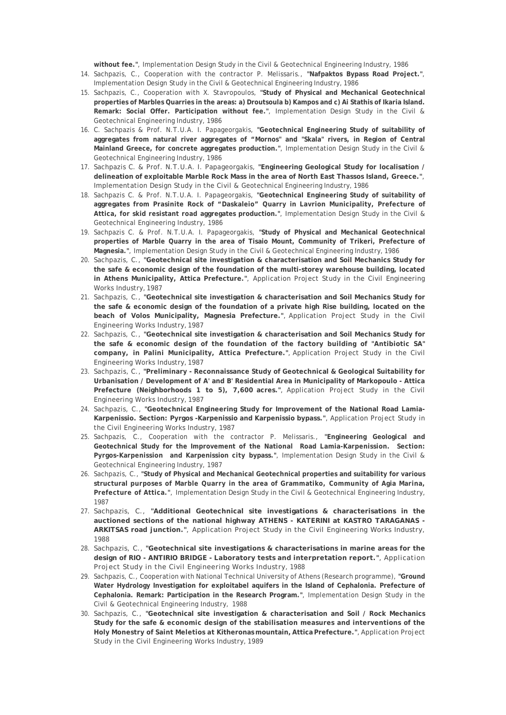**without fee."**, Implementation Design Study in the Civil & Geotechnical Engineering Industry, 1986

- 14. Sachpazis, C., Cooperation with the contractor P. Melissaris., **"Nafpaktos Bypass Road Project."**, Implementation Design Study in the Civil & Geotechnical Engineering Industry, 1986
- 15. Sachpazis, C., Cooperation with X. Stavropoulos, **"Study of Physical and Mechanical Geotechnical properties of Marbles Quarries in the areas: a) Droutsoula b) Kampos and c) Ai Stathis of Ikaria Island. Remark: Social Offer. Participation without fee."**, Implementation Design Study in the Civil & Geotechnical Engineering Industry, 1986
- 16. C. Sachpazis & Prof. N.T.U.A. I. Papageorgakis, **"Geotechnical Engineering Study of suitability of aggregates from natural river aggregates of "Mornos" and "Skala" rivers, in Region of Central Mainland Greece, for concrete aggregates production."**, Implementation Design Study in the Civil & Geotechnical Engineering Industry, 1986
- 17. Sachpazis C. & Prof. N.T.U.A. I. Papageorgakis, **"Engineering Geological Study for localisation / delineation of exploitable Marble Rock Mass in the area of North East Thassos Island, Greece."**, Implementation Design Study in the Civil & Geotechnical Engineering Industry, 1986
- 18. Sachpazis C. & Prof. N.T.U.A. I. Papageorgakis, **"Geotechnical Engineering Study of suitability of aggregates from Prasinite Rock of "Daskaleio" Quarry in Lavrion Municipality, Prefecture of Attica, for skid resistant road aggregates production."**, Implementation Design Study in the Civil & Geotechnical Engineering Industry, 1986
- 19. Sachpazis C. & Prof. N.T.U.A. I. Papageorgakis, **"Study of Physical and Mechanical Geotechnical properties of Marble Quarry in the area of Tisaio Mount, Community of Trikeri, Prefecture of Magnesia."**, Implementation Design Study in the Civil & Geotechnical Engineering Industry, 1986
- 20. Sachpazis, C., **"Geotechnical site investigation & characterisation and Soil Mechanics Study for the safe & economic design of the foundation of the multi-storey warehouse building, located in Athens Municipality, Attica Prefecture."**, Application Project Study in the Civil Engineering Works Industry, 1987
- 21. Sachpazis, C., **"Geotechnical site investigation & characterisation and Soil Mechanics Study for the safe & economic design of the foundation of a private high Rise building, located on the beach of Volos Municipality, Magnesia Prefecture."**, Application Project Study in the Civil Engineering Works Industry, 1987
- 22. Sachpazis, C., **"Geotechnical site investigation & characterisation and Soil Mechanics Study for the safe & economic design of the foundation of the factory building of "Antibiotic SA" company, in Palini Municipality, Attica Prefecture."**, Application Project Study in the Civil Engineering Works Industry, 1987
- 23. Sachpazis, C., **"Preliminary Reconnaissance Study of Geotechnical & Geological Suitability for Urbanisation / Development of A' and B' Residential Area in Municipality of Markopoulo - Attica Prefecture (Neighborhoods 1 to 5), 7,600 acres."**, Application Project Study in the Civil Engineering Works Industry, 1987
- 24. Sachpazis, C., **"Geotechnical Engineering Study for Improvement of the National Road Lamia-Karpenissio. Section: Pyrgos -Karpenissio and Karpenissio bypass."**, Application Project Study in the Civil Engineering Works Industry, 1987
- 25. Sachpazis, C., Cooperation with the contractor P. Melissaris., **"Engineering Geological and Geotechnical Study for the Improvement of the National Road Lamia-Karpenission. Section: Pyrgos-Karpenission and Karpenission city bypass."**, Implementation Design Study in the Civil & Geotechnical Engineering Industry, 1987
- 26. Sachpazis, C., **"Study of Physical and Mechanical Geotechnical properties and suitability for various structural purposes of Marble Quarry in the area of Grammatiko, Community of Agia Marina, Prefecture of Attica."**, Implementation Design Study in the Civil & Geotechnical Engineering Industry, 1987
- 27. Sachpazis, C., **"Additional Geotechnical site investigations & characterisations in the auctioned sections of the national highway ATHENS - KATERINI at KASTRO TARAGANAS - ARKITSAS road junction."**, Application Project Study in the Civil Engineering Works Industry, 1988
- 28. Sachpazis, C., **"Geotechnical site investigations & characterisations in marine areas for the design of RIO - ANTIRIO BRIDGE - Laboratory tests and interpretation report."**, Application Project Study in the Civil Engineering Works Industry, 1988
- 29. Sachpazis, C., Cooperation with National Technical University of Athens (Research programme), **"Ground Water Hydrology Investigation for exploitabel aquifers in the Island of Cephalonia. Prefecture of Cephalonia. Remark: Participation in the Research Program."**, Implementation Design Study in the Civil & Geotechnical Engineering Industry, 1988
- 30. Sachpazis, C., **"Geotechnical site investigation & characterisation and Soil / Rock Mechanics Study for the safe & economic design of the stabilisation measures and interventions of the Holy Monestry of Saint Meletios at Kitheronas mountain, Attica Prefecture."**, Application Project Study in the Civil Engineering Works Industry, 1989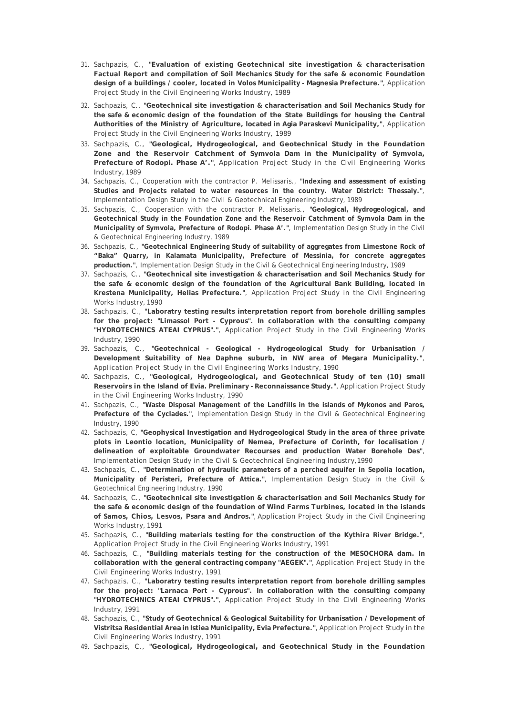- 31. Sachpazis, C., **"Evaluation of existing Geotechnical site investigation & characterisation Factual Report and compilation of Soil Mechanics Study for the safe & economic Foundation design of a buildings / cooler, located in Volos Municipality - Magnesia Prefecture."**, Application Project Study in the Civil Engineering Works Industry, 1989
- 32. Sachpazis, C., **"Geotechnical site investigation & characterisation and Soil Mechanics Study for the safe & economic design of the foundation of the State Buildings for housing the Central Authorities of the Ministry of Agriculture, located in Agia Paraskevi Municipality,"**, Application Project Study in the Civil Engineering Works Industry, 1989
- 33. Sachpazis, C., **"Geological, Hydrogeological, and Geotechnical Study in the Foundation Zone and the Reservoir Catchment of Symvola Dam in the Municipality of Symvola, Prefecture of Rodopi. Phase A'."**, Application Project Study in the Civil Engineering Works Industry, 1989
- 34. Sachpazis, C., Cooperation with the contractor P. Melissaris., **"Indexing and assessment of existing Studies and Projects related to water resources in the country. Water District: Thessaly."**, Implementation Design Study in the Civil & Geotechnical Engineering Industry, 1989
- 35. Sachpazis, C., Cooperation with the contractor P. Melissaris., **"Geological, Hydrogeological, and Geotechnical Study in the Foundation Zone and the Reservoir Catchment of Symvola Dam in the Municipality of Symvola, Prefecture of Rodopi. Phase A'."**, Implementation Design Study in the Civil & Geotechnical Engineering Industry, 1989
- 36. Sachpazis, C., **"Geotechnical Engineering Study of suitability of aggregates from Limestone Rock of "Baka" Quarry, in Kalamata Municipality, Prefecture of Messinia, for concrete aggregates production."**, Implementation Design Study in the Civil & Geotechnical Engineering Industry, 1989
- 37. Sachpazis, C., **"Geotechnical site investigation & characterisation and Soil Mechanics Study for the safe & economic design of the foundation of the Agricultural Bank Building, located in Krestena Municipality, Helias Prefecture."**, Application Project Study in the Civil Engineering Works Industry, 1990
- 38. Sachpazis, C., **"Laboratry testing results interpretation report from borehole drilling samples for the project: "Limassol Port - Cyprous". In collaboration with the consulting company "HYDROTECHNICS ATEAI CYPRUS"."**, Application Project Study in the Civil Engineering Works Industry, 1990
- 39. Sachpazis, C., **"Geotechnical Geological Hydrogeological Study for Urbanisation / Development Suitability of Nea Daphne suburb, in NW area of Megara Municipality."**, Application Project Study in the Civil Engineering Works Industry, 1990
- 40. Sachpazis, C., **"Geological, Hydrogeological, and Geotechnical Study of ten (10) small Reservoirs in the Island of Evia. Preliminary - Reconnaissance Study."**, Application Project Study in the Civil Engineering Works Industry, 1990
- 41. Sachpazis, C., **"Waste Disposal Management of the Landfills in the islands of Mykonos and Paros, Prefecture of the Cyclades."**, Implementation Design Study in the Civil & Geotechnical Engineering Industry, 1990
- 42. Sachpazis, C, **"Geophysical Investigation and Hydrogeological Study in the area of three private plots in Leontio location, Municipality of Nemea, Prefecture of Corinth, for localisation / delineation of exploitable Groundwater Recourses and production Water Borehole Des"**, Implementation Design Study in the Civil & Geotechnical Engineering Industry, 1990
- 43. Sachpazis, C., **"Determination of hydraulic parameters of a perched aquifer in Sepolia location, Municipality of Peristeri, Prefecture of Attica."**, Implementation Design Study in the Civil & Geotechnical Engineering Industry, 1990
- 44. Sachpazis, C., **"Geotechnical site investigation & characterisation and Soil Mechanics Study for the safe & economic design of the foundation of Wind Farms Turbines, located in the islands of Samos, Chios, Lesvos, Psara and Andros."**, Application Project Study in the Civil Engineering Works Industry, 1991
- 45. Sachpazis, C., **"Building materials testing for the construction of the Kythira River Bridge."**, Application Project Study in the Civil Engineering Works Industry, 1991
- 46. Sachpazis, C., **"Building materials testing for the construction of the MESOCHORA dam. In collaboration with the general contracting company "AEGEK"."**, Application Project Study in the Civil Engineering Works Industry, 1991
- 47. Sachpazis, C., **"Laboratry testing results interpretation report from borehole drilling samples for the project: "Larnaca Port - Cyprous". In collaboration with the consulting company "HYDROTECHNICS ATEAI CYPRUS"."**, Application Project Study in the Civil Engineering Works Industry, 1991
- 48. Sachpazis, C., **"Study of Geotechnical & Geological Suitability for Urbanisation / Development of Vistritsa Residential Area in Istiea Municipality, Evia Prefecture."**, Application Project Study in the Civil Engineering Works Industry, 1991
- 49. Sachpazis, C., **"Geological, Hydrogeological, and Geotechnical Study in the Foundation**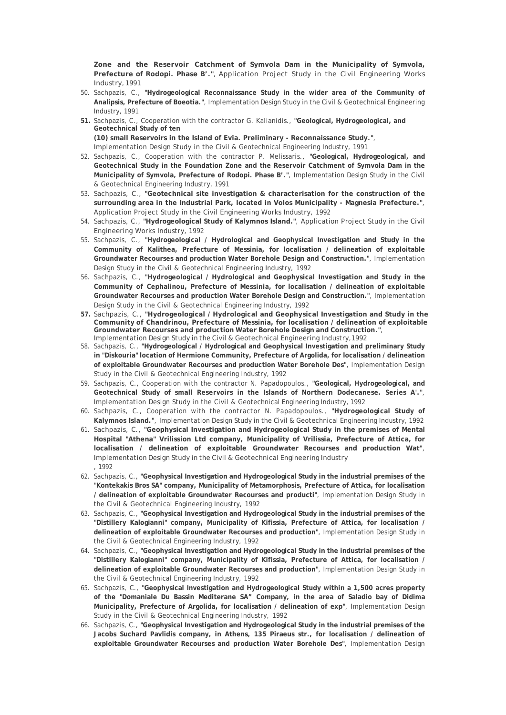**Zone and the Reservoir Catchment of Symvola Dam in the Municipality of Symvola, Prefecture of Rodopi. Phase B'."**, Application Project Study in the Civil Engineering Works Industry, 1991

- 50. Sachpazis, C., **"Hydrogeological Reconnaissance Study in the wider area of the Community of Analipsis, Prefecture of Boeotia."**, Implementation Design Study in the Civil & Geotechnical Engineering Industry, 1991
- **51.** Sachpazis, C., Cooperation with the contractor G. Kalianidis., **"Geological, Hydrogeological, and Geotechnical Study of ten (10) small Reservoirs in the Island of Evia. Preliminary - Reconnaissance Study."**, Implementation Design Study in the Civil & Geotechnical Engineering Industry, 1991
- 52. Sachpazis, C., Cooperation with the contractor P. Melissaris., **"Geological, Hydrogeological, and Geotechnical Study in the Foundation Zone and the Reservoir Catchment of Symvola Dam in the Municipality of Symvola, Prefecture of Rodopi. Phase B'."**, Implementation Design Study in the Civil & Geotechnical Engineering Industry, 1991
- 53. Sachpazis, C., **"Geotechnical site investigation & characterisation for the construction of the surrounding area in the Industrial Park, located in Volos Municipality - Magnesia Prefecture."**, Application Project Study in the Civil Engineering Works Industry, 1992
- 54. Sachpazis, C., **"Hydrogeological Study of Kalymnos Island."**, Application Project Study in the Civil Engineering Works Industry, 1992
- 55. Sachpazis, C., **"Hydrogeological / Hydrological and Geophysical Investigation and Study in the Community of Kalithea, Prefecture of Messinia, for localisation / delineation of exploitable Groundwater Recourses and production Water Borehole Design and Construction."**, Implementation Design Study in the Civil & Geotechnical Engineering Industry, 1992
- 56. Sachpazis, C., **"Hydrogeological / Hydrological and Geophysical Investigation and Study in the Community of Cephalinou, Prefecture of Messinia, for localisation / delineation of exploitable Groundwater Recourses and production Water Borehole Design and Construction."**, Implementation Design Study in the Civil & Geotechnical Engineering Industry, 1992
- **57.** Sachpazis, C., **"Hydrogeological / Hydrological and Geophysical Investigation and Study in the Community of Chandrinou, Prefecture of Messinia, for localisation / delineation of exploitable Groundwater Recourses and production Water Borehole Design and Construction."**, Implementation Design Study in the Civil & Geotechnical Engineering Industry, 1992
- 58. Sachpazis, C., **"Hydrogeological / Hydrological and Geophysical Investigation and preliminary Study in "Diskouria" location of Hermione Community, Prefecture of Argolida, for localisation / delineation of exploitable Groundwater Recourses and production Water Borehole Des"**, Implementation Design Study in the Civil & Geotechnical Engineering Industry, 1992
- 59. Sachpazis, C., Cooperation with the contractor N. Papadopoulos., **"Geological, Hydrogeological, and Geotechnical Study of small Reservoirs in the Islands of Northern Dodecanese. Series A'."**, Implementation Design Study in the Civil & Geotechnical Engineering Industry, 1992
- 60. Sachpazis, C., Cooperation with the contractor N. Papadopoulos., **"Hydrogeological Study of Kalymnos Island."**, Implementation Design Study in the Civil & Geotechnical Engineering Industry, 1992
- 61. Sachpazis, C., **"Geophysical Investigation and Hydrogeological Study in the premises of Mental Hospital "Athena" Vrilission Ltd company, Municipality of Vrilissia, Prefecture of Attica, for localisation / delineation of exploitable Groundwater Recourses and production Wat"**, Implementation Design Study in the Civil & Geotechnical Engineering Industry , 1992
- 62. Sachpazis, C., **"Geophysical Investigation and Hydrogeological Study in the industrial premises of the "Kontekakis Bros SA" company, Municipality of Metamorphosis, Prefecture of Attica, for localisation / delineation of exploitable Groundwater Recourses and producti"**, Implementation Design Study in the Civil & Geotechnical Engineering Industry, 1992
- 63. Sachpazis, C., **"Geophysical Investigation and Hydrogeological Study in the industrial premises of the "Distillery Kalogianni" company, Municipality of Kifissia, Prefecture of Attica, for localisation / delineation of exploitable Groundwater Recourses and production"**, Implementation Design Study in the Civil & Geotechnical Engineering Industry, 1992
- 64. Sachpazis, C., **"Geophysical Investigation and Hydrogeological Study in the industrial premises of the "Distillery Kalogianni" company, Municipality of Kifissia, Prefecture of Attica, for localisation / delineation of exploitable Groundwater Recourses and production"**, Implementation Design Study in the Civil & Geotechnical Engineering Industry, 1992
- 65. Sachpazis, C., **"Geophysical Investigation and Hydrogeological Study within a 1,500 acres property of the "Domaniale Du Bassin Mediterane SA" Company, in the area of Saladio bay of Didima Municipality, Prefecture of Argolida, for localisation / delineation of exp"**, Implementation Design Study in the Civil & Geotechnical Engineering Industry, 1992
- 66. Sachpazis, C., **"Geophysical Investigation and Hydrogeological Study in the industrial premises of the Jacobs Suchard Pavlidis company, in Athens, 135 Piraeus str., for localisation / delineation of exploitable Groundwater Recourses and production Water Borehole Des"**, Implementation Design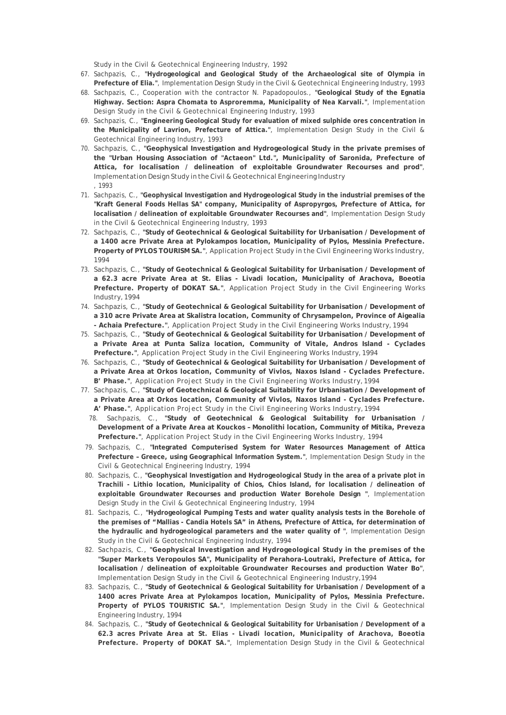Study in the Civil & Geotechnical Engineering Industry, 1992

- 67. Sachpazis, C., **"Hydrogeological and Geological Study of the Archaeological site of Olympia in Prefecture of Elia."**, Implementation Design Study in the Civil & Geotechnical Engineering Industry, 1993
- 68. Sachpazis, C., Cooperation with the contractor N. Papadopoulos., **"Geological Study of the Egnatia Highway. Section: Aspra Chomata to Asproremma, Municipality of Nea Karvali."**, Implementation Design Study in the Civil & Geotechnical Engineering Industry, 1993
- 69. Sachpazis, C., **"Engineering Geological Study for evaluation of mixed sulphide ores concentration in the Municipality of Lavrion, Prefecture of Attica."**, Implementation Design Study in the Civil & Geotechnical Engineering Industry, 1993
- 70. Sachpazis, C., **"Geophysical Investigation and Hydrogeological Study in the private premises of the "Urban Housing Association of "Actaeon" Ltd.", Municipality of Saronida, Prefecture of Attica, for localisation / delineation of exploitable Groundwater Recourses and prod"**, Implementation Design Study in the Civil & Geotechnical Engineering Industry , 1993
- 71. Sachpazis, C., **"Geophysical Investigation and Hydrogeological Study in the industrial premises of the "Kraft General Foods Hellas SA" company, Municipality of Aspropyrgos, Prefecture of Attica, for localisation / delineation of exploitable Groundwater Recourses and"**, Implementation Design Study in the Civil & Geotechnical Engineering Industry, 1993
- 72. Sachpazis, C., **"Study of Geotechnical & Geological Suitability for Urbanisation / Development of a 1400 acre Private Area at Pylokampos location, Municipality of Pylos, Messinia Prefecture. Property of PYLOS TOURISM SA."**, Application Project Study in the Civil Engineering Works Industry, 1994
- 73. Sachpazis, C., **"Study of Geotechnical & Geological Suitability for Urbanisation / Development of a 62.3 acre Private Area at St. Elias - Livadi location, Municipality of Arachova, Boeotia Prefecture. Property of DOKAT SA."**, Application Project Study in the Civil Engineering Works Industry, 1994
- 74. Sachpazis, C., **"Study of Geotechnical & Geological Suitability for Urbanisation / Development of a 310 acre Private Area at Skalistra location, Community of Chrysampelon, Province of Aigealia - Achaia Prefecture."**, Application Project Study in the Civil Engineering Works Industry, 1994
- 75. Sachpazis, C., **"Study of Geotechnical & Geological Suitability for Urbanisation / Development of a Private Area at Punta Saliza location, Community of Vitale, Andros Island - Cyclades Prefecture."**, Application Project Study in the Civil Engineering Works Industry, 1994
- 76. Sachpazis, C., **"Study of Geotechnical & Geological Suitability for Urbanisation / Development of a Private Area at Orkos location, Community of Vivlos, Naxos Island - Cyclades Prefecture. B' Phase."**, Application Project Study in the Civil Engineering Works Industry, 1994
- 77. Sachpazis, C., **"Study of Geotechnical & Geological Suitability for Urbanisation / Development of a Private Area at Orkos location, Community of Vivlos, Naxos Island - Cyclades Prefecture. A' Phase."**, Application Project Study in the Civil Engineering Works Industry, 1994
	- 78. Sachpazis, C., **"Study of Geotechnical & Geological Suitability for Urbanisation / Development of a Private Area at Kouckos – Monolithi location, Community of Mitika, Preveza Prefecture."**, Application Project Study in the Civil Engineering Works Industry, 1994
- 79. Sachpazis, C., **"Integrated Computerised System for Water Resources Management of Attica Prefecture – Greece, using Geographical Information System."**, Implementation Design Study in the Civil & Geotechnical Engineering Industry, 1994
- 80. Sachpazis, C., **"Geophysical Investigation and Hydrogeological Study in the area of a private plot in Trachili - Lithio location, Municipality of Chios, Chios Island, for localisation / delineation of exploitable Groundwater Recourses and production Water Borehole Design "**, Implementation Design Study in the Civil & Geotechnical Engineering Industry, 1994
- 81. Sachpazis, C., **"Hydrogeological Pumping Tests and water quality analysis tests in the Borehole of the premises of "Mallias - Candia Hotels SA" in Athens, Prefecture of Attica, for determination of the hydraulic and hydrogeological parameters and the water quality of "**, Implementation Design Study in the Civil & Geotechnical Engineering Industry, 1994
- 82. Sachpazis, C., **"Geophysical Investigation and Hydrogeological Study in the premises of the "Super Markets Veropoulos SA", Municipality of Perahora-Loutraki, Prefecture of Attica, for localisation / delineation of exploitable Groundwater Recourses and production Water Bo"**, Implementation Design Study in the Civil & Geotechnical Engineering Industry, 1994
- 83. Sachpazis, C., **"Study of Geotechnical & Geological Suitability for Urbanisation / Development of a 1400 acres Private Area at Pylokampos location, Municipality of Pylos, Messinia Prefecture. Property of PYLOS TOURISTIC SA."**, Implementation Design Study in the Civil & Geotechnical Engineering Industry, 1994
- 84. Sachpazis, C., **"Study of Geotechnical & Geological Suitability for Urbanisation / Development of a 62.3 acres Private Area at St. Elias - Livadi location, Municipality of Arachova, Boeotia Prefecture. Property of DOKAT SA."**, Implementation Design Study in the Civil & Geotechnical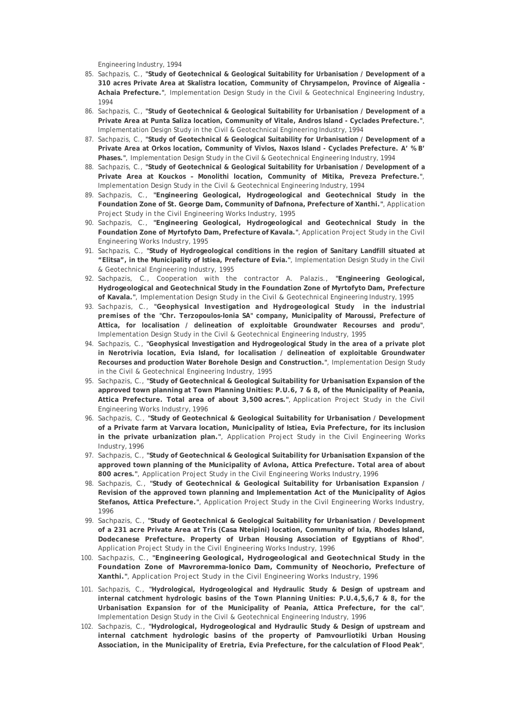Engineering Industry, 1994

- 85. Sachpazis, C., **"Study of Geotechnical & Geological Suitability for Urbanisation / Development of a 310 acres Private Area at Skalistra location, Community of Chrysampelon, Province of Aigealia - Achaia Prefecture."**, Implementation Design Study in the Civil & Geotechnical Engineering Industry, 1994
- 86. Sachpazis, C., **"Study of Geotechnical & Geological Suitability for Urbanisation / Development of a Private Area at Punta Saliza location, Community of Vitale, Andros Island - Cyclades Prefecture."**, Implementation Design Study in the Civil & Geotechnical Engineering Industry, 1994
- 87. Sachpazis, C., **"Study of Geotechnical & Geological Suitability for Urbanisation / Development of a Private Area at Orkos location, Community of Vivlos, Naxos Island - Cyclades Prefecture. A' % B' Phases."**, Implementation Design Study in the Civil & Geotechnical Engineering Industry, 1994
- 88. Sachpazis, C., **"Study of Geotechnical & Geological Suitability for Urbanisation / Development of a Private Area at Kouckos – Monolithi location, Community of Mitika, Preveza Prefecture."**, Implementation Design Study in the Civil & Geotechnical Engineering Industry, 1994
- 89. Sachpazis, C., **"Engineering Geological, Hydrogeological and Geotechnical Study in the Foundation Zone of St. George Dam, Community of Dafnona, Prefecture of Xanthi."**, Application Project Study in the Civil Engineering Works Industry, 1995
- 90. Sachpazis, C., **"Engineering Geological, Hydrogeological and Geotechnical Study in the Foundation Zone of Myrtofyto Dam, Prefecture of Kavala."**, Application Project Study in the Civil Engineering Works Industry, 1995
- 91. Sachpazis, C., **"Study of Hydrogeological conditions in the region of Sanitary Landfill situated at "Elitsa", in the Municipality of Istiea, Prefecture of Evia."**, Implementation Design Study in the Civil & Geotechnical Engineering Industry, 1995
- 92. Sachpazis, C., Cooperation with the contractor A. Palazis., **"Engineering Geological, Hydrogeological and Geotechnical Study in the Foundation Zone of Myrtofyto Dam, Prefecture of Kavala."**, Implementation Design Study in the Civil & Geotechnical Engineering Industry, 1995
- 93. Sachpazis, C., **"Geophysical Investigation and Hydrogeological Study in the industrial premises of the "Chr. Terzopoulos-Ionia SA" company, Municipality of Maroussi, Prefecture of Attica, for localisation / delineation of exploitable Groundwater Recourses and produ"**, Implementation Design Study in the Civil & Geotechnical Engineering Industry, 1995
- 94. Sachpazis, C., **"Geophysical Investigation and Hydrogeological Study in the area of a private plot in Nerotrivia location, Evia Island, for localisation / delineation of exploitable Groundwater Recourses and production Water Borehole Design and Construction."**, Implementation Design Study in the Civil & Geotechnical Engineering Industry, 1995
- 95. Sachpazis, C., **"Study of Geotechnical & Geological Suitability for Urbanisation Expansion of the approved town planning at Town Planning Unities: P.U.6, 7 & 8, of the Municipality of Peania, Attica Prefecture. Total area of about 3,500 acres."**, Application Project Study in the Civil Engineering Works Industry, 1996
- 96. Sachpazis, C., **"Study of Geotechnical & Geological Suitability for Urbanisation / Development of a Private farm at Varvara location, Municipality of Istiea, Evia Prefecture, for its inclusion in the private urbanization plan."**, Application Project Study in the Civil Engineering Works Industry, 1996
- 97. Sachpazis, C., **"Study of Geotechnical & Geological Suitability for Urbanisation Expansion of the approved town planning of the Municipality of Avlona, Attica Prefecture. Total area of about 800 acres."**, Application Project Study in the Civil Engineering Works Industry, 1996
- 98. Sachpazis, C., **"Study of Geotechnical & Geological Suitability for Urbanisation Expansion / Revision of the approved town planning and Implementation Act of the Municipality of Agios Stefanos, Attica Prefecture."**, Application Project Study in the Civil Engineering Works Industry, 1996
- 99. Sachpazis, C., **"Study of Geotechnical & Geological Suitability for Urbanisation / Development of a 231 acre Private Area at Tris (Casa Nteipini) location, Community of Ixia, Rhodes Island, Dodecanese Prefecture. Property of Urban Housing Association of Egyptians of Rhod"**, Application Project Study in the Civil Engineering Works Industry, 1996
- 100. Sachpazis, C., **"Engineering Geological, Hydrogeological and Geotechnical Study in the Foundation Zone of Mavroremma-Ionico Dam, Community of Neochorio, Prefecture of Xanthi."**, Application Project Study in the Civil Engineering Works Industry, 1996
- 101. Sachpazis, C., **"Hydrological, Hydrogeological and Hydraulic Study & Design of upstream and internal catchment hydrologic basins of the Town Planning Unities: P.U.4,5,6,7 & 8, for the Urbanisation Expansion for of the Municipality of Peania, Attica Prefecture, for the cal"**, Implementation Design Study in the Civil & Geotechnical Engineering Industry, 1996
- 102. Sachpazis, C., **"Hydrological, Hydrogeological and Hydraulic Study & Design of upstream and internal catchment hydrologic basins of the property of Pamvourliotiki Urban Housing Association, in the Municipality of Eretria, Evia Prefecture, for the calculation of Flood Peak"**,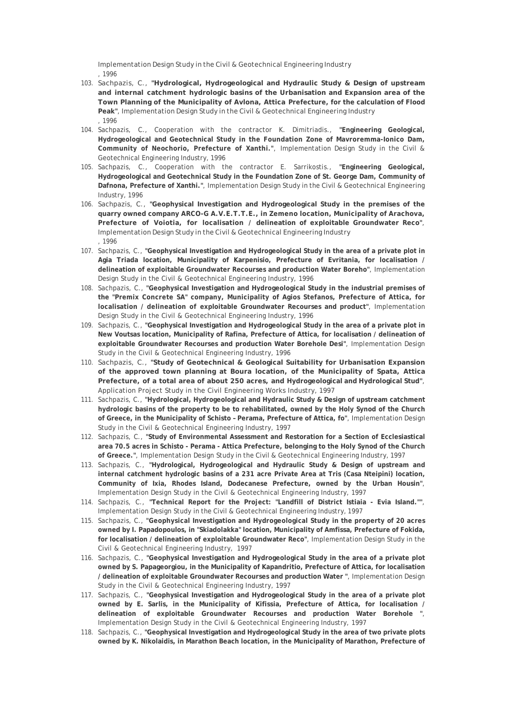Implementation Design Study in the Civil & Geotechnical Engineering Industry , 1996

- 103. Sachpazis, C., **"Hydrological, Hydrogeological and Hydraulic Study & Design of upstream and internal catchment hydrologic basins of the Urbanisation and Expansion area of the Town Planning of the Municipality of Avlona, Attica Prefecture, for the calculation of Flood Peak"**, Implementation Design Study in the Civil & Geotechnical Engineering Industry , 1996
- 104. Sachpazis, C., Cooperation with the contractor K. Dimitriadis., **"Engineering Geological, Hydrogeological and Geotechnical Study in the Foundation Zone of Mavroremma-Ionico Dam, Community of Neochorio, Prefecture of Xanthi."**, Implementation Design Study in the Civil & Geotechnical Engineering Industry, 1996
- 105. Sachpazis, C., Cooperation with the contractor E. Sarrikostis., **"Engineering Geological, Hydrogeological and Geotechnical Study in the Foundation Zone of St. George Dam, Community of Dafnona, Prefecture of Xanthi."**, Implementation Design Study in the Civil & Geotechnical Engineering Industry, 1996
- 106. Sachpazis, C., **"Geophysical Investigation and Hydrogeological Study in the premises of the quarry owned company ARCO-G A.V.E.T.T.E., in Zemeno location, Municipality of Arachova, Prefecture of Voiotia, for localisation / delineation of exploitable Groundwater Reco"**, Implementation Design Study in the Civil & Geotechnical Engineering Industry , 1996
- 107. Sachpazis, C., **"Geophysical Investigation and Hydrogeological Study in the area of a private plot in Agia Triada location, Municipality of Karpenisio, Prefecture of Evritania, for localisation / delineation of exploitable Groundwater Recourses and production Water Boreho"**, Implementation Design Study in the Civil & Geotechnical Engineering Industry, 1996
- 108. Sachpazis, C., **"Geophysical Investigation and Hydrogeological Study in the industrial premises of the "Premix Concrete SA" company, Municipality of Agios Stefanos, Prefecture of Attica, for localisation / delineation of exploitable Groundwater Recourses and product"**, Implementation Design Study in the Civil & Geotechnical Engineering Industry, 1996
- 109. Sachpazis, C., **"Geophysical Investigation and Hydrogeological Study in the area of a private plot in New Voutsas location, Municipality of Rafina, Prefecture of Attica, for localisation / delineation of exploitable Groundwater Recourses and production Water Borehole Desi"**, Implementation Design Study in the Civil & Geotechnical Engineering Industry, 1996
- 110. Sachpazis, C., **"Study of Geotechnical & Geological Suitability for Urbanisation Expansion of the approved town planning at Boura location, of the Municipality of Spata, Attica Prefecture, of a total area of about 250 acres, and Hydrogeological and Hydrological Stud"**, Application Project Study in the Civil Engineering Works Industry, 1997
- 111. Sachpazis, C., **"Hydrological, Hydrogeological and Hydraulic Study & Design of upstream catchment hydrologic basins of the property to be to rehabilitated, owned by the Holy Synod of the Church of Greece, in the Municipality of Schisto – Perama, Prefecture of Attica, fo"**, Implementation Design Study in the Civil & Geotechnical Engineering Industry, 1997
- 112. Sachpazis, C., **"Study of Environmental Assessment and Restoration for a Section of Ecclesiastical area 70.5 acres in Schisto - Perama - Attica Prefecture, belonging to the Holy Synod of the Church of Greece."**, Implementation Design Study in the Civil & Geotechnical Engineering Industry, 1997
- 113. Sachpazis, C., **"Hydrological, Hydrogeological and Hydraulic Study & Design of upstream and internal catchment hydrologic basins of a 231 acre Private Area at Tris (Casa Nteipini) location, Community of Ixia, Rhodes Island, Dodecanese Prefecture, owned by the Urban Housin"**, Implementation Design Study in the Civil & Geotechnical Engineering Industry, 1997
- 114. Sachpazis, C., **"Technical Report for the Project: "Landfill of District Istiaia Evia Island.""**, Implementation Design Study in the Civil & Geotechnical Engineering Industry, 1997
- 115. Sachpazis, C., **"Geophysical Investigation and Hydrogeological Study in the property of 20 acres owned by I. Papadopoulos, in "Skiadolakka" location, Municipality of Amfissa, Prefecture of Fokida, for localisation / delineation of exploitable Groundwater Reco"**, Implementation Design Study in the Civil & Geotechnical Engineering Industry, 1997
- 116. Sachpazis, C., **"Geophysical Investigation and Hydrogeological Study in the area of a private plot owned by S. Papageorgiou, in the Municipality of Kapandritio, Prefecture of Attica, for localisation / delineation of exploitable Groundwater Recourses and production Water "**, Implementation Design Study in the Civil & Geotechnical Engineering Industry, 1997
- 117. Sachpazis, C., **"Geophysical Investigation and Hydrogeological Study in the area of a private plot owned by E. Sarlis, in the Municipality of Kifissia, Prefecture of Attica, for localisation / delineation of exploitable Groundwater Recourses and production Water Borehole "**, Implementation Design Study in the Civil & Geotechnical Engineering Industry, 1997
- 118. Sachpazis, C., **"Geophysical Investigation and Hydrogeological Study in the area of two private plots owned by K. Nikolaidis, in Marathon Beach location, in the Municipality of Marathon, Prefecture of**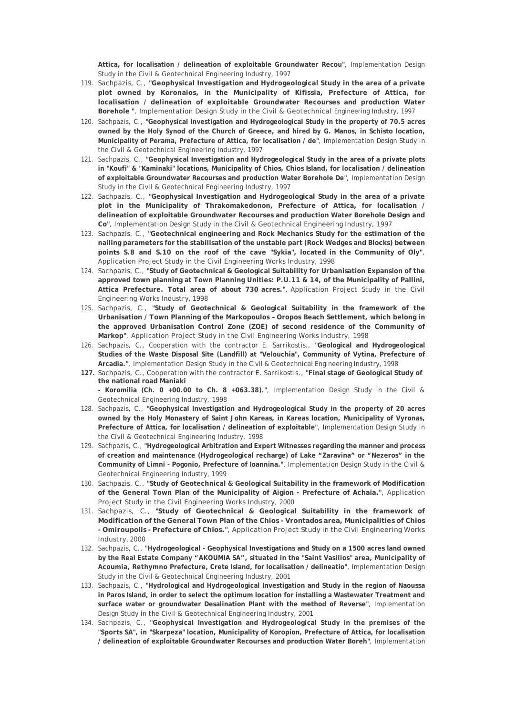**Attica, for localisation / delineation of exploitable Groundwater Recou"**, Implementation Design Study in the Civil & Geotechnical Engineering Industry, 1997

- 119. Sachpazis, C., **"Geophysical Investigation and Hydrogeological Study in the area of a private plot owned by Koronaios, in the Municipality of Kifissia, Prefecture of Attica, for localisation / delineation of exploitable Groundwater Recourses and production Water Borehole "**, Implementation Design Study in the Civil & Geotechnical Engineering Industry, 1997
- 120. Sachpazis, C., **"Geophysical Investigation and Hydrogeological Study in the property of 70.5 acres owned by the Holy Synod of the Church of Greece, and hired by G. Manos, in Schisto location, Municipality of Perama, Prefecture of Attica, for localisation / de"**, Implementation Design Study in the Civil & Geotechnical Engineering Industry, 1997
- 121. Sachpazis, C., **"Geophysical Investigation and Hydrogeological Study in the area of a private plots in "Koufi" & "Kaminaki" locations, Municipality of Chios, Chios Island, for localisation / delineation of exploitable Groundwater Recourses and production Water Borehole De"**, Implementation Design Study in the Civil & Geotechnical Engineering Industry, 1997
- 122. Sachpazis, C., **"Geophysical Investigation and Hydrogeological Study in the area of a private plot in the Municipality of Thrakomakedonon, Prefecture of Attica, for localisation / delineation of exploitable Groundwater Recourses and production Water Borehole Design and Co"**, Implementation Design Study in the Civil & Geotechnical Engineering Industry, 1997
- 123. Sachpazis, C., **"Geotechnical engineering and Rock Mechanics Study for the estimation of the nailing parameters for the stabilisation of the unstable part (Rock Wedges and Blocks) between points S.8 and S.10 on the roof of the cave "Sykia", located in the Community of Oly"**, Application Project Study in the Civil Engineering Works Industry, 1998
- 124. Sachpazis, C., **"Study of Geotechnical & Geological Suitability for Urbanisation Expansion of the approved town planning at Town Planning Unities: P.U.11 & 14, of the Municipality of Pallini, Attica Prefecture. Total area of about 730 acres."**, Application Project Study in the Civil Engineering Works Industry, 1998
- 125. Sachpazis, C., **"Study of Geotechnical & Geological Suitability in the framework of the Urbanisation / Town Planning of the Markopoulos – Oropos Beach Settlement, which belong in the approved Urbanisation Control Zone (ZOE) of second residence of the Community of Markop"**, Application Project Study in the Civil Engineering Works Industry, 1998
- 126. Sachpazis, C., Cooperation with the contractor E. Sarrikostis., **"Geological and Hydrogeological Studies of the Waste Disposal Site (Landfill) at "Velouchia", Community of Vytina, Prefecture of Arcadia."**, Implementation Design Study in the Civil & Geotechnical Engineering Industry, 1998
- **127.** Sachpazis, C., Cooperation with the contractor E. Sarrikostis., **"Final stage of Geological Study of the national road Maniaki**

**- Koromilia (Ch. 0 +00.00 to Ch. 8 +063.38)."**, Implementation Design Study in the Civil & Geotechnical Engineering Industry, 1998

- 128. Sachpazis, C., **"Geophysical Investigation and Hydrogeological Study in the property of 20 acres owned by the Holy Monastery of Saint John Kareas, in Kareas location, Municipality of Vyronas, Prefecture of Attica, for localisation / delineation of exploitable"**, Implementation Design Study in the Civil & Geotechnical Engineering Industry, 1998
- 129. Sachpazis, C., **"Hydrogeological Arbitration and Expert Witnesses regarding the manner and process of creation and maintenance (Hydrogeological recharge) of Lake "Zaravina" or "Nezeros" in the Community of Limni - Pogonio, Prefecture of Ioannina."**, Implementation Design Study in the Civil & Geotechnical Engineering Industry, 1999
- 130. Sachpazis, C., **"Study of Geotechnical & Geological Suitability in the framework of Modification of the General Town Plan of the Municipality of Aigion - Prefecture of Achaia."**, Application Project Study in the Civil Engineering Works Industry, 2000
- 131. Sachpazis, C., **"Study of Geotechnical & Geological Suitability in the framework of Modification of the General Town Plan of the Chios - Vrontados area, Municipalities of Chios - Omiroupolis - Prefecture of Chios."**, Application Project Study in the Civil Engineering Works Industry, 2000
- 132. Sachpazis, C., **"Hydrogeological Geophysical Investigations and Study on a 1500 acres land owned by the Real Estate Company "AKOUMIA SA", situated in the "Saint Vasilios" area, Municipality of Acoumia, Rethymno Prefecture, Crete Island, for localisation / delineatio"**, Implementation Design Study in the Civil & Geotechnical Engineering Industry, 2001
- 133. Sachpazis, C., **"Hydrological and Hydrogeological Investigation and Study in the region of Naoussa in Paros Island, in order to select the optimum location for installing a Wastewater Treatment and surface water or groundwater Desalination Plant with the method of Reverse"**, Implementation Design Study in the Civil & Geotechnical Engineering Industry, 2001
- 134. Sachpazis, C., **"Geophysical Investigation and Hydrogeological Study in the premises of the "Sports SA", in "Skarpeza" location, Municipality of Koropion, Prefecture of Attica, for localisation / delineation of exploitable Groundwater Recourses and production Water Boreh"**, Implementation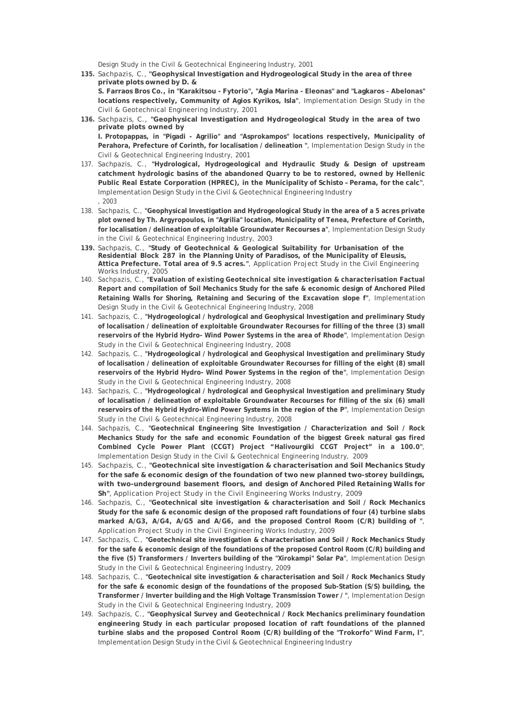Design Study in the Civil & Geotechnical Engineering Industry, 2001

**135.** Sachpazis, C., **"Geophysical Investigation and Hydrogeological Study in the area of three private plots owned by D. &**

**S. Farraos Bros Co., in "Karakitsou - Fytorio", "Agia Marina - Eleonas" and "Lagkaros - Abelonas" locations respectively, Community of Agios Kyrikos, Isla"**, Implementation Design Study in the Civil & Geotechnical Engineering Industry, 2001

- **136.** Sachpazis, C., **"Geophysical Investigation and Hydrogeological Study in the area of two private plots owned by I. Protopappas, in "Pigadi - Agrilio" and "Asprokampos" locations respectively, Municipality of Perahora, Prefecture of Corinth, for localisation / delineation "**, Implementation Design Study in the
- Civil & Geotechnical Engineering Industry, 2001 137. Sachpazis, C., **"Hydrological, Hydrogeological and Hydraulic Study & Design of upstream catchment hydrologic basins of the abandoned Quarry to be to restored, owned by Hellenic Public Real Estate Corporation (HPREC), in the Municipality of Schisto – Perama, for the calc"**, Implementation Design Study in the Civil & Geotechnical Engineering Industry , 2003
- 138. Sachpazis, C., **"Geophysical Investigation and Hydrogeological Study in the area of a 5 acres private plot owned by Th. Argyropoulos, in "Agrilia" location, Municipality of Tenea, Prefecture of Corinth, for localisation / delineation of exploitable Groundwater Recourses a"**, Implementation Design Study in the Civil & Geotechnical Engineering Industry, 2003
- **139.** Sachpazis, C., **"Study of Geotechnical & Geological Suitability for Urbanisation of the Residential Block 287 in the Planning Unity of Paradisos, of the Municipality of Eleusis, Attica Prefecture. Total area of 9.5 acres."**, Application Project Study in the Civil Engineering Works Industry, 2005
- 140. Sachpazis, C., **"Evaluation of existing Geotechnical site investigation & characterisation Factual Report and compilation of Soil Mechanics Study for the safe & economic design of Anchored Piled Retaining Walls for Shoring, Retaining and Securing of the Excavation slope f"**, Implementation Design Study in the Civil & Geotechnical Engineering Industry, 2008
- 141. Sachpazis, C., **"Hydrogeological / hydrological and Geophysical Investigation and preliminary Study of localisation / delineation of exploitable Groundwater Recourses for filling of the three (3) small reservoirs of the Hybrid Hydro- Wind Power Systems in the area of Rhode"**, Implementation Design Study in the Civil & Geotechnical Engineering Industry, 2008
- 142. Sachpazis, C., **"Hydrogeological / hydrological and Geophysical Investigation and preliminary Study of localisation / delineation of exploitable Groundwater Recourses for filling of the eight (8) small reservoirs of the Hybrid Hydro- Wind Power Systems in the region of the"**, Implementation Design Study in the Civil & Geotechnical Engineering Industry, 2008
- 143. Sachpazis, C., **"Hydrogeological / hydrological and Geophysical Investigation and preliminary Study of localisation / delineation of exploitable Groundwater Recourses for filling of the six (6) small reservoirs of the Hybrid Hydro-Wind Power Systems in the region of the P"**, Implementation Design Study in the Civil & Geotechnical Engineering Industry, 2008
- 144. Sachpazis, C., **"Geotechnical Engineering Site Investigation / Characterization and Soil / Rock Mechanics Study for the safe and economic Foundation of the biggest Greek natural gas fired Combined Cycle Power Plant (CCGT) Project "Halivourgiki CCGT Project" in a 100.0"**, Implementation Design Study in the Civil & Geotechnical Engineering Industry, 2009
- 145. Sachpazis, C., **"Geotechnical site investigation & characterisation and Soil Mechanics Study for the safe & economic design of the foundation of two new planned two-storey buildings, with two-underground basement floors, and design of Anchored Piled Retaining Walls for Sh"**, Application Project Study in the Civil Engineering Works Industry, 2009
- 146. Sachpazis, C., **"Geotechnical site investigation & characterisation and Soil / Rock Mechanics Study for the safe & economic design of the proposed raft foundations of four (4) turbine slabs marked A/G3, A/G4, A/G5 and A/G6, and the proposed Control Room (C/R) building of "**, Application Project Study in the Civil Engineering Works Industry, 2009
- 147. Sachpazis, C., **"Geotechnical site investigation & characterisation and Soil / Rock Mechanics Study for the safe & economic design of the foundations of the proposed Control Room (C/R) building and the five (5) Transformers / Inverters building of the "Xirokampi" Solar Pa"**, Implementation Design Study in the Civil & Geotechnical Engineering Industry, 2009
- 148. Sachpazis, C., **"Geotechnical site investigation & characterisation and Soil / Rock Mechanics Study for the safe & economic design of the foundations of the proposed Sub-Station (S/S) building, the Transformer / Inverter building and the High Voltage Transmission Tower / "**, Implementation Design Study in the Civil & Geotechnical Engineering Industry, 2009
- 149. Sachpazis, C., **"Geophysical Survey and Geotechnical / Rock Mechanics preliminary foundation engineering Study in each particular proposed location of raft foundations of the planned turbine slabs and the proposed Control Room (C/R) building of the "Trokorfo" Wind Farm, l"**, Implementation Design Study in the Civil & Geotechnical Engineering Industry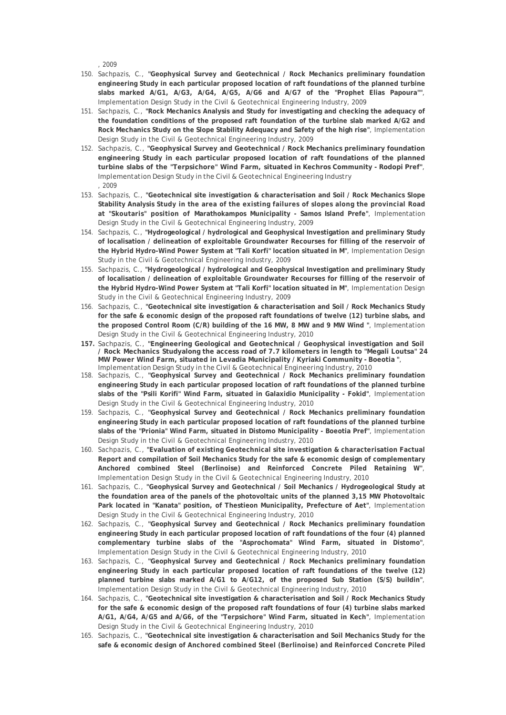, 2009

- 150. Sachpazis, C., **"Geophysical Survey and Geotechnical / Rock Mechanics preliminary foundation engineering Study in each particular proposed location of raft foundations of the planned turbine slabs marked A/G1, A/G3, A/G4, A/G5, A/G6 and A/G7 of the "Prophet Elias Papoura""**, Implementation Design Study in the Civil & Geotechnical Engineering Industry, 2009
- 151. Sachpazis, C., **"Rock Mechanics Analysis and Study for investigating and checking the adequacy of the foundation conditions of the proposed raft foundation of the turbine slab marked A/G2 and Rock Mechanics Study on the Slope Stability Adequacy and Safety of the high rise"**, Implementation Design Study in the Civil & Geotechnical Engineering Industry, 2009
- 152. Sachpazis, C., **"Geophysical Survey and Geotechnical / Rock Mechanics preliminary foundation engineering Study in each particular proposed location of raft foundations of the planned turbine slabs of the "Terpsichore" Wind Farm, situated in Kechros Community - Rodopi Pref"**, Implementation Design Study in the Civil & Geotechnical Engineering Industry , 2009
- 153. Sachpazis, C., **"Geotechnical site investigation & characterisation and Soil / Rock Mechanics Slope Stability Analysis Study in the area of the existing failures of slopes along the provincial Road at "Skoutaris" position of Marathokampos Municipality - Samos Island Prefe"**, Implementation Design Study in the Civil & Geotechnical Engineering Industry, 2009
- 154. Sachpazis, C., **"Hydrogeological / hydrological and Geophysical Investigation and preliminary Study of localisation / delineation of exploitable Groundwater Recourses for filling of the reservoir of the Hybrid Hydro-Wind Power System at "Tali Korfi" location situated in M"**, Implementation Design Study in the Civil & Geotechnical Engineering Industry, 2009
- 155. Sachpazis, C., **"Hydrogeological / hydrological and Geophysical Investigation and preliminary Study of localisation / delineation of exploitable Groundwater Recourses for filling of the reservoir of the Hybrid Hydro-Wind Power System at "Tali Korfi" location situated in M"**, Implementation Design Study in the Civil & Geotechnical Engineering Industry, 2009
- 156. Sachpazis, C., **"Geotechnical site investigation & characterisation and Soil / Rock Mechanics Study for the safe & economic design of the proposed raft foundations of twelve (12) turbine slabs, and the proposed Control Room (C/R) building of the 16 MW, 8 MW and 9 MW Wind "**, Implementation Design Study in the Civil & Geotechnical Engineering Industry, 2010
- **157.** Sachpazis, C., **"Engineering Geological and Geotechnical / Geophysical investigation and Soil / Rock Mechanics Studyalong the access road of 7.7 kilometers in length to "Megali Loutsa" 24 MW Power Wind Farm, situated in Levadia Municipality / Kyriaki Community - Boeotia "**, Implementation Design Study in the Civil & Geotechnical Engineering Industry, 2010
- 158. Sachpazis, C., **"Geophysical Survey and Geotechnical / Rock Mechanics preliminary foundation engineering Study in each particular proposed location of raft foundations of the planned turbine slabs of the "Psili Korifi" Wind Farm, situated in Galaxidio Municipality - Fokid"**, Implementation Design Study in the Civil & Geotechnical Engineering Industry, 2010
- 159. Sachpazis, C., **"Geophysical Survey and Geotechnical / Rock Mechanics preliminary foundation engineering Study in each particular proposed location of raft foundations of the planned turbine slabs of the "Prionia" Wind Farm, situated in Distomo Municipality - Boeotia Pref"**, Implementation Design Study in the Civil & Geotechnical Engineering Industry, 2010
- 160. Sachpazis, C., **"Evaluation of existing Geotechnical site investigation & characterisation Factual Report and compilation of Soil Mechanics Study for the safe & economic design of complementary Anchored combined Steel (Berlinoise) and Reinforced Concrete Piled Retaining W"**, Implementation Design Study in the Civil & Geotechnical Engineering Industry, 2010
- 161. Sachpazis, C., **"Geophysical Survey and Geotechnical / Soil Mechanics / Hydrogeological Study at the foundation area of the panels of the photovoltaic units of the planned 3,15 MW Photovoltaic Park located in "Kanata" position, of Thestieon Municipality, Prefecture of Aet"**, Implementation Design Study in the Civil & Geotechnical Engineering Industry, 2010
- 162. Sachpazis, C., **"Geophysical Survey and Geotechnical / Rock Mechanics preliminary foundation engineering Study in each particular proposed location of raft foundations of the four (4) planned complementary turbine slabs of the "Asprochomata" Wind Farm, situated in Distomo"**, Implementation Design Study in the Civil & Geotechnical Engineering Industry, 2010
- 163. Sachpazis, C., **"Geophysical Survey and Geotechnical / Rock Mechanics preliminary foundation engineering Study in each particular proposed location of raft foundations of the twelve (12) planned turbine slabs marked A/G1 to A/G12, of the proposed Sub Station (S/S) buildin"**, Implementation Design Study in the Civil & Geotechnical Engineering Industry, 2010
- 164. Sachpazis, C., **"Geotechnical site investigation & characterisation and Soil / Rock Mechanics Study for the safe & economic design of the proposed raft foundations of four (4) turbine slabs marked A/G1, A/G4, A/G5 and A/G6, of the "Terpsichore" Wind Farm, situated in Kech"**, Implementation Design Study in the Civil & Geotechnical Engineering Industry, 2010
- 165. Sachpazis, C., **"Geotechnical site investigation & characterisation and Soil Mechanics Study for the safe & economic design of Anchored combined Steel (Berlinoise) and Reinforced Concrete Piled**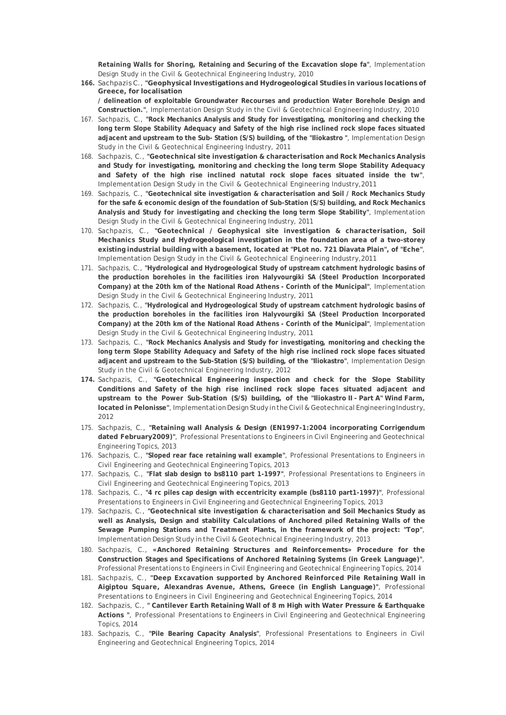**Retaining Walls for Shoring, Retaining and Securing of the Excavation slope fa"**, Implementation Design Study in the Civil & Geotechnical Engineering Industry, 2010

- **166.** Sachpazis C., **"Geophysical Investigations and Hydrogeological Studies in various locations of Greece, for localisation / delineation of exploitable Groundwater Recourses and production Water Borehole Design and Construction."**, Implementation Design Study in the Civil & Geotechnical Engineering Industry, 2010
- 167. Sachpazis, C., **"Rock Mechanics Analysis and Study for investigating, monitoring and checking the long term Slope Stability Adequacy and Safety of the high rise inclined rock slope faces situated adjacent and upstream to the Sub- Station (S/S) building, of the "Iliokastro "**, Implementation Design Study in the Civil & Geotechnical Engineering Industry, 2011
- 168. Sachpazis, C., **"Geotechnical site investigation & characterisation and Rock Mechanics Analysis and Study for investigating, monitoring and checking the long term Slope Stability Adequacy and Safety of the high rise inclined natutal rock slope faces situated inside the tw"**, Implementation Design Study in the Civil & Geotechnical Engineering Industry, 2011
- 169. Sachpazis, C., **"Geotechnical site investigation & characterisation and Soil / Rock Mechanics Study for the safe & economic design of the foundation of Sub-Station (S/S) building, and Rock Mechanics Analysis and Study for investigating and checking the long term Slope Stability"**, Implementation Design Study in the Civil & Geotechnical Engineering Industry, 2011
- 170. Sachpazis, C., **"Geotechnical / Geophysical site investigation & characterisation, Soil Mechanics Study and Hydrogeological investigation in the foundation area of a two-storey existing industrial building with a basement, located at "PLot no. 721 Diavata Plain", of "Eche"**, Implementation Design Study in the Civil & Geotechnical Engineering Industry, 2011
- 171. Sachpazis, C., **"Hydrological and Hydrogeological Study of upstream catchment hydrologic basins of the production boreholes in the facilities iron Halyvourgiki SA (Steel Production Incorporated Company) at the 20th km of the National Road Athens - Corinth of the Municipal"**, Implementation Design Study in the Civil & Geotechnical Engineering Industry, 2011
- 172. Sachpazis, C., **"Hydrological and Hydrogeological Study of upstream catchment hydrologic basins of the production boreholes in the facilities iron Halyvourgiki SA (Steel Production Incorporated Company) at the 20th km of the National Road Athens - Corinth of the Municipal"**, Implementation Design Study in the Civil & Geotechnical Engineering Industry, 2011
- 173. Sachpazis, C., **"Rock Mechanics Analysis and Study for investigating, monitoring and checking the long term Slope Stability Adequacy and Safety of the high rise inclined rock slope faces situated adjacent and upstream to the Sub-Station (S/S) building, of the "Iliokastro"**, Implementation Design Study in the Civil & Geotechnical Engineering Industry, 2012
- **174.** Sachpazis, C., **"Geotechnical Engineering inspection and check for the Slope Stability Conditions and Safety of the high rise inclined rock slope faces situated adjacent and upstream to the Power Sub-Station (S/S) building, of the "Iliokastro II - Part A" Wind Farm, located in Pelonisse"**, Implementation Design Study in the Civil & Geotechnical Engineering Industry, 2012
- 175. Sachpazis, C., **"Retaining wall Analysis & Design (EN1997-1:2004 incorporating Corrigendum dated February2009)"**, Professional Presentations to Engineers in Civil Engineering and Geotechnical Engineering Topics, 2013
- 176. Sachpazis, C., **"Sloped rear face retaining wall example"**, Professional Presentations to Engineers in Civil Engineering and Geotechnical Engineering Topics, 2013
- 177. Sachpazis, C., **"Flat slab design to bs8110 part 1-1997"**, Professional Presentations to Engineers in Civil Engineering and Geotechnical Engineering Topics, 2013
- 178. Sachpazis, C., **"4 rc piles cap design with eccentricity example (bs8110 part1-1997)"**, Professional Presentations to Engineers in Civil Engineering and Geotechnical Engineering Topics, 2013
- 179. Sachpazis, C., **"Geotechnical site investigation & characterisation and Soil Mechanics Study as well as Analysis, Design and stability Calculations of Anchored piled Retaining Walls of the Sewage Pumping Stations and Treatment Plants, in the framework of the project: "Top"**, Implementation Design Study in the Civil & Geotechnical Engineering Industry, 2013
- 180. Sachpazis, C., **«Anchored Retaining Structures and Reinforcements» Procedure for the Construction Stages and Specifications of Anchored Retaining Systems (in Greek Language)"**, Professional Presentations to Engineers in Civil Engineering and Geotechnical Engineering Topics, 2014
- 181. Sachpazis, C., **"Deep Excavation supported by Anchored Reinforced Pile Retaining Wall in Aigiptou Square, Alexandras Avenue, Athens, Greece (in English Language)"**, Professional Presentations to Engineers in Civil Engineering and Geotechnical Engineering Topics, 2014
- 182. Sachpazis, C., **" Cantilever Earth Retaining Wall of 8 m High with Water Pressure & Earthquake Actions "**, Professional Presentations to Engineers in Civil Engineering and Geotechnical Engineering Topics, 2014
- 183. Sachpazis, C., **"Pile Bearing Capacity Analysis"**, Professional Presentations to Engineers in Civil Engineering and Geotechnical Engineering Topics, 2014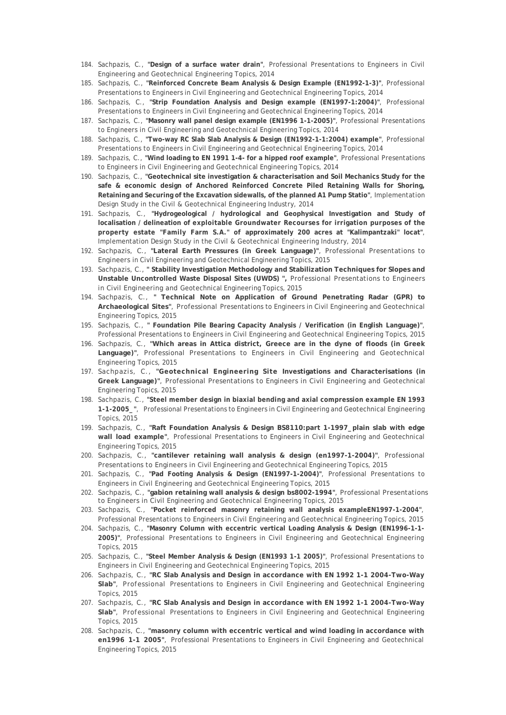- 184. Sachpazis, C., **"Design of a surface water drain"**, Professional Presentations to Engineers in Civil Engineering and Geotechnical Engineering Topics, 2014
- 185. Sachpazis, C., **"Reinforced Concrete Beam Analysis & Design Example (EN1992-1-3)"**, Professional Presentations to Engineers in Civil Engineering and Geotechnical Engineering Topics, 2014
- 186. Sachpazis, C., **"Strip Foundation Analysis and Design example (EN1997-1:2004)"**, Professional Presentations to Engineers in Civil Engineering and Geotechnical Engineering Topics, 2014
- 187. Sachpazis, C., **"Masonry wall panel design example (EN1996 1-1-2005)"**, Professional Presentations to Engineers in Civil Engineering and Geotechnical Engineering Topics, 2014
- 188. Sachpazis, C., **"Two-way RC Slab Slab Analysis & Design (EN1992-1-1:2004) example"**, Professional Presentations to Engineers in Civil Engineering and Geotechnical Engineering Topics, 2014
- 189. Sachpazis, C., **"Wind loading to EN 1991 1-4- for a hipped roof example"**, Professional Presentations to Engineers in Civil Engineering and Geotechnical Engineering Topics, 2014
- 190. Sachpazis, C., **"Geotechnical site investigation & characterisation and Soil Mechanics Study for the safe & economic design of Anchored Reinforced Concrete Piled Retaining Walls for Shoring, Retaining and Securing of the Excavation sidewalls, of the planned A1 Pump Statio"**, Implementation Design Study in the Civil & Geotechnical Engineering Industry, 2014
- 191. Sachpazis, C., **"Hydrogeological / hydrological and Geophysical Investigation and Study of localisation / delineation of exploitable Groundwater Recourses for irrigation purposes of the property estate "Family Farm S.A." of approximately 200 acres at "Kalimpantzaki" locat"**, Implementation Design Study in the Civil & Geotechnical Engineering Industry, 2014
- 192. Sachpazis, C., **"Lateral Earth Pressures (in Greek Language)"**, Professional Presentations to Engineers in Civil Engineering and Geotechnical Engineering Topics, 2015
- 193. Sachpazis, C., **" Stability Investigation Methodology and Stabilization Techniques for Slopes and Unstable Uncontrolled Waste Disposal Sites (UWDS) ",** Professional Presentations to Engineers in Civil Engineering and Geotechnical Engineering Topics, 2015
- 194. Sachpazis, C., **" Technical Note on Application of Ground Penetrating Radar (GPR) to Archaeological Sites"**, Professional Presentations to Engineers in Civil Engineering and Geotechnical Engineering Topics, 2015
- 195. Sachpazis, C., **" Foundation Pile Bearing Capacity Analysis / Verification (in English Language)"**, Professional Presentations to Engineers in Civil Engineering and Geotechnical Engineering Topics, 2015
- 196. Sachpazis, C., **"Which areas in Attica district, Greece are in the dyne of floods (in Greek Language)"**, Professional Presentations to Engineers in Civil Engineering and Geotechnical Engineering Topics, 2015
- 197. Sachpazis, C., **"Geotechnical Engineering Site Investigations and Characterisations (in Greek Language)"**, Professional Presentations to Engineers in Civil Engineering and Geotechnical Engineering Topics, 2015
- 198. Sachpazis, C., **"Steel member design in biaxial bending and axial compression example EN 1993 1-1-2005\_"**, Professional Presentations to Engineers in Civil Engineering and Geotechnical Engineering Topics, 2015
- 199. Sachpazis, C., **"Raft Foundation Analysis & Design BS8110:part 1-1997\_plain slab with edge wall load example"**, Professional Presentations to Engineers in Civil Engineering and Geotechnical Engineering Topics, 2015
- 200. Sachpazis, C., **"cantilever retaining wall analysis & design (en1997-1-2004)"**, Professional Presentations to Engineers in Civil Engineering and Geotechnical Engineering Topics, 2015
- 201. Sachpazis, C., **"Pad Footing Analysis & Design (EN1997-1-2004)"**, Professional Presentations to Engineers in Civil Engineering and Geotechnical Engineering Topics, 2015
- 202. Sachpazis, C., **"gabion retaining wall analysis & design bs8002-1994"**, Professional Presentations to Engineers in Civil Engineering and Geotechnical Engineering Topics, 2015
- 203. Sachpazis, C., **"Pocket reinforced masonry retaining wall analysis exampleEN1997-1-2004"**, Professional Presentations to Engineers in Civil Engineering and Geotechnical Engineering Topics, 2015
- 204. Sachpazis, C., **"Masonry Column with eccentric vertical Loading Analysis & Design (EN1996-1-1- 2005)"**, Professional Presentations to Engineers in Civil Engineering and Geotechnical Engineering Topics, 2015
- 205. Sachpazis, C., **"Steel Member Analysis & Design (EN1993 1-1 2005)"**, Professional Presentations to Engineers in Civil Engineering and Geotechnical Engineering Topics, 2015
- 206. Sachpazis, C., **"RC Slab Analysis and Design in accordance with EN 1992 1-1 2004-Two-Way Slab"**, Professional Presentations to Engineers in Civil Engineering and Geotechnical Engineering Topics, 2015
- 207. Sachpazis, C., **"RC Slab Analysis and Design in accordance with EN 1992 1-1 2004-Two-Way Slab"**, Professional Presentations to Engineers in Civil Engineering and Geotechnical Engineering Topics, 2015
- 208. Sachpazis, C., **"masonry column with eccentric vertical and wind loading in accordance with en1996 1-1 2005"**, Professional Presentations to Engineers in Civil Engineering and Geotechnical Engineering Topics, 2015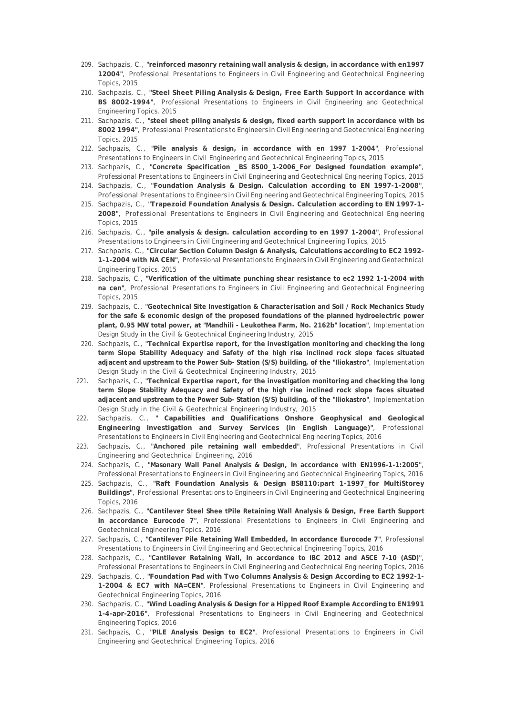- 209. Sachpazis, C., **"reinforced masonry retaining wall analysis & design, in accordance with en1997 12004"**, Professional Presentations to Engineers in Civil Engineering and Geotechnical Engineering Topics, 2015
- 210. Sachpazis, C., **"Steel Sheet Piling Analysis & Design, Free Earth Support In accordance with BS 8002-1994"**, Professional Presentations to Engineers in Civil Engineering and Geotechnical Engineering Topics, 2015
- 211. Sachpazis, C., **"steel sheet piling analysis & design, fixed earth support in accordance with bs 8002 1994"**, Professional Presentations to Engineers in Civil Engineering and Geotechnical Engineering Topics, 2015
- 212. Sachpazis, C., **"Pile analysis & design, in accordance with en 1997 1-2004"**, Professional Presentations to Engineers in Civil Engineering and Geotechnical Engineering Topics, 2015
- 213. Sachpazis, C., **"Concrete Specification \_BS 8500\_1-2006\_For Designed foundation example"**, Professional Presentations to Engineers in Civil Engineering and Geotechnical Engineering Topics, 2015
- 214. Sachpazis, C., **"Foundation Analysis & Design. Calculation according to EN 1997-1-2008"**, Professional Presentations to Engineers in Civil Engineering and Geotechnical Engineering Topics, 2015
- 215. Sachpazis, C., **"Trapezoid Foundation Analysis & Design. Calculation according to EN 1997-1- 2008"**, Professional Presentations to Engineers in Civil Engineering and Geotechnical Engineering Topics, 2015
- 216. Sachpazis, C., **"pile analysis & design. calculation according to en 1997 1-2004"**, Professional Presentations to Engineers in Civil Engineering and Geotechnical Engineering Topics, 2015
- 217. Sachpazis, C., **"Circular Section Column Design & Analysis, Calculations according to EC2 1992- 1-1-2004 with NA CEN"**, Professional Presentations to Engineers in Civil Engineering and Geotechnical Engineering Topics, 2015
- 218. Sachpazis, C., **"Verification of the ultimate punching shear resistance to ec2 1992 1-1-2004 with na cen"**, Professional Presentations to Engineers in Civil Engineering and Geotechnical Engineering Topics, 2015
- 219. Sachpazis, C., **"Geotechnical Site Investigation & Characterisation and Soil / Rock Mechanics Study for the safe & economic design of the proposed foundations of the planned hydroelectric power plant, 0.95 MW total power, at "Mandhili - Leukothea Farm, No. 2162b" location"**, Implementation Design Study in the Civil & Geotechnical Engineering Industry, 2015
- 220. Sachpazis, C., **"Technical Expertise report, for the investigation monitoring and checking the long term Slope Stability Adequacy and Safety of the high rise inclined rock slope faces situated adjacent and upstream to the Power Sub- Station (S/S) building, of the "Iliokastro"**, Implementation Design Study in the Civil & Geotechnical Engineering Industry, 2015
- 221. Sachpazis, C., **"Technical Expertise report, for the investigation monitoring and checking the long term Slope Stability Adequacy and Safety of the high rise inclined rock slope faces situated adjacent and upstream to the Power Sub- Station (S/S) building, of the "Iliokastro"**, Implementation Design Study in the Civil & Geotechnical Engineering Industry, 2015
- 222. Sachpazis, C., **" Capabilities and Qualifications Onshore Geophysical and Geological Engineering Investigation and Survey Services (in English Language)"**, Professional Presentations to Engineers in Civil Engineering and Geotechnical Engineering Topics, 2016
- 223. Sachpazis, C., **"Anchored pile retaining wall embedded"**, Professional Presentations in Civil Engineering and Geotechnical Engineering, 2016
- 224. Sachpazis, C., **"Masonary Wall Panel Analysis & Design, In accordance with EN1996-1-1:2005"**, Professional Presentations to Engineers in Civil Engineering and Geotechnical Engineering Topics, 2016
- 225. Sachpazis, C., **"Raft Foundation Analysis & Design BS8110:part 1-1997\_for MultiStorey Buildings"**, Professional Presentations to Engineers in Civil Engineering and Geotechnical Engineering Topics, 2016
- 226. Sachpazis, C., **"Cantilever Steel Shee tPile Retaining Wall Analysis & Design, Free Earth Support In accordance Eurocode 7"**, Professional Presentations to Engineers in Civil Engineering and Geotechnical Engineering Topics, 2016
- 227. Sachpazis, C., **"Cantilever Pile Retaining Wall Embedded, In accordance Eurocode 7"**, Professional Presentations to Engineers in Civil Engineering and Geotechnical Engineering Topics, 2016
- 228. Sachpazis, C., **"Cantilever Retaining Wall, In accordance to IBC 2012 and ASCE 7-10 (ASD)"**, Professional Presentations to Engineers in Civil Engineering and Geotechnical Engineering Topics, 2016
- 229. Sachpazis, C., **"Foundation Pad with Two Columns Analysis & Design According to EC2 1992-1- 1-2004 & EC7 with NA=CEN"**, Professional Presentations to Engineers in Civil Engineering and Geotechnical Engineering Topics, 2016
- 230. Sachpazis, C., **"Wind Loading Analysis & Design for a Hipped Roof Example According to EN1991 1-4-apr-2016"**, Professional Presentations to Engineers in Civil Engineering and Geotechnical Engineering Topics, 2016
- 231. Sachpazis, C., **"PILE Analysis Design to EC2"**, Professional Presentations to Engineers in Civil Engineering and Geotechnical Engineering Topics, 2016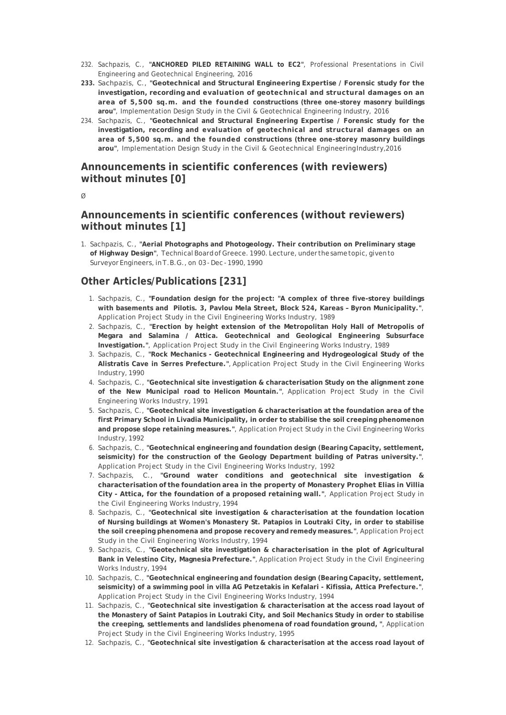- 232. Sachpazis, C., **"ANCHORED PILED RETAINING WALL to EC2"**, Professional Presentations in Civil Engineering and Geotechnical Engineering, 2016
- **233.** Sachpazis, C., **"Geotechnical and Structural Engineering Expertise / Forensic study for the investigation, recording and evaluation of geotechnical and structural damages on an area of 5,500 sq.m. and the founded constructions (three one-storey masonry buildings arou"**, Implementation Design Study in the Civil & Geotechnical Engineering Industry, 2016
- 234. Sachpazis, C., **"Geotechnical and Structural Engineering Expertise / Forensic study for the investigation, recording and evaluation of geotechnical and structural damages on an area of 5,500 sq.m. and the founded constructions (three one-storey masonry buildings arou"**, Implementation Design Study in the Civil & Geotechnical Engineering Industry, 2016

# **Announcements in scientific conferences (with reviewers) without minutes [0]**

#### $\alpha$

# **Announcements in scientific conferences (without reviewers) without minutes [1]**

1. Sachpazis, C., **"Aerial Photographs and Photogeology. Their contribution on Preliminary stage of Highway Design"**, Technical Board of Greece. 1990. Lecture, under the same topic, given to Surveyor Engineers, in T.B.G., on 03 - Dec - 1990, 1990

# **Other Articles/Publications [231]**

- 1. Sachpazis, C., **"Foundation design for the project: "A complex of three five-storey buildings with basements and Pilotis. 3, Pavlou Mela Street, Block 524, Kareas – Byron Municipality."**, Application Project Study in the Civil Engineering Works Industry, 1989
- 2. Sachpazis, C., **"Erection by height extension of the Metropolitan Holy Hall of Metropolis of Megara and Salamina / Attica. Geotechnical and Geological Engineering Subsurface Investigation."**, Application Project Study in the Civil Engineering Works Industry, 1989
- 3. Sachpazis, C., **"Rock Mechanics Geotechnical Engineering and Hydrogeological Study of the Alistratis Cave in Serres Prefecture."**, Application Project Study in the Civil Engineering Works Industry, 1990
- 4. Sachpazis, C., **"Geotechnical site investigation & characterisation Study on the alignment zone of the New Municipal road to Helicon Mountain."**, Application Project Study in the Civil Engineering Works Industry, 1991
- 5. Sachpazis, C., **"Geotechnical site investigation & characterisation at the foundation area of the first Primary School in Livadia Municipality, in order to stabilise the soil creeping phenomenon and propose slope retaining measures."**, Application Project Study in the Civil Engineering Works Industry, 1992
- 6. Sachpazis, C., **"Geotechnical engineering and foundation design (Bearing Capacity, settlement, seismicity) for the construction of the Geology Department building of Patras university."**, Application Project Study in the Civil Engineering Works Industry, 1992
- 7. Sachpazis, C., **"Ground water conditions and geotechnical site investigation & characterisation of the foundation area in the property of Monastery Prophet Elias in Villia City - Attica, for the foundation of a proposed retaining wall."**, Application Project Study in the Civil Engineering Works Industry, 1994
- 8. Sachpazis, C., **"Geotechnical site investigation & characterisation at the foundation location of Nursing buildings at Women's Monastery St. Patapios in Loutraki City, in order to stabilise the soil creeping phenomena and propose recovery and remedy measures."**, Application Project Study in the Civil Engineering Works Industry, 1994
- 9. Sachpazis, C., **"Geotechnical site investigation & characterisation in the plot of Agricultural Bank in Velestino City, Magnesia Prefecture."**, Application Project Study in the Civil Engineering Works Industry, 1994
- 10. Sachpazis, C., **"Geotechnical engineering and foundation design (Bearing Capacity, settlement, seismicity) of a swimming pool in villa AG Petzetakis in Kefalari - Kifissia, Attica Prefecture."**, Application Project Study in the Civil Engineering Works Industry, 1994
- 11. Sachpazis, C., **"Geotechnical site investigation & characterisation at the access road layout of the Monastery of Saint Patapios in Loutraki City, and Soil Mechanics Study in order to stabilise the creeping, settlements and landslides phenomena of road foundation ground, "**, Application Project Study in the Civil Engineering Works Industry, 1995
- 12. Sachpazis, C., **"Geotechnical site investigation & characterisation at the access road layout of**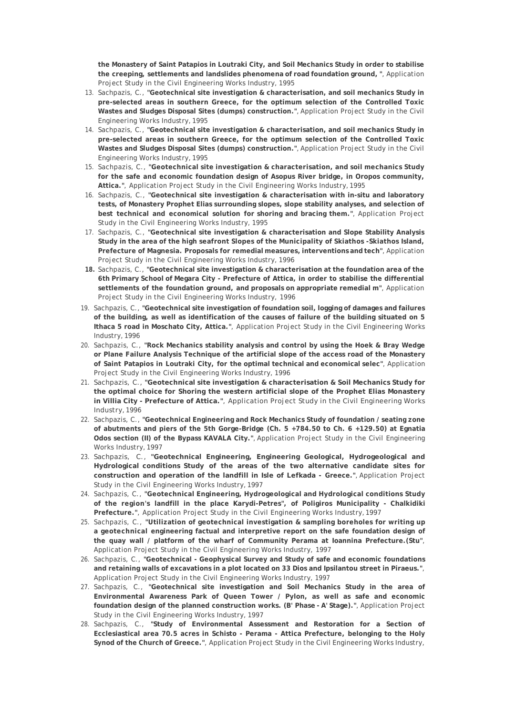**the Monastery of Saint Patapios in Loutraki City, and Soil Mechanics Study in order to stabilise the creeping, settlements and landslides phenomena of road foundation ground, "**, Application Project Study in the Civil Engineering Works Industry, 1995

- 13. Sachpazis, C., **"Geotechnical site investigation & characterisation, and soil mechanics Study in pre-selected areas in southern Greece, for the optimum selection of the Controlled Toxic Wastes and Sludges Disposal Sites (dumps) construction."**, Application Project Study in the Civil Engineering Works Industry, 1995
- 14. Sachpazis, C., **"Geotechnical site investigation & characterisation, and soil mechanics Study in pre-selected areas in southern Greece, for the optimum selection of the Controlled Toxic Wastes and Sludges Disposal Sites (dumps) construction."**, Application Project Study in the Civil Engineering Works Industry, 1995
- 15. Sachpazis, C., **"Geotechnical site investigation & characterisation, and soil mechanics Study for the safe and economic foundation design of Asopus River bridge, in Oropos community, Attica."**, Application Project Study in the Civil Engineering Works Industry, 1995
- 16. Sachpazis, C., **"Geotechnical site investigation & characterisation with in-situ and laboratory tests, of Monastery Prophet Elias surrounding slopes, slope stability analyses, and selection of best technical and economical solution for shoring and bracing them."**, Application Project Study in the Civil Engineering Works Industry, 1995
- 17. Sachpazis, C., **"Geotechnical site investigation & characterisation and Slope Stability Analysis Study in the area of the high seafront Slopes of the Municipality of Skiathos -Skiathos Island, Prefecture of Magnesia. Proposals for remedial measures, interventions and tech"**, Application Project Study in the Civil Engineering Works Industry, 1996
- **18.** Sachpazis, C., **"Geotechnical site investigation & characterisation at the foundation area of the 6th Primary School of Megara City - Prefecture of Attica, in order to stabilise the differential settlements of the foundation ground, and proposals on appropriate remedial m"**, Application Project Study in the Civil Engineering Works Industry, 1996
- 19. Sachpazis, C., **"Geotechnical site investigation of foundation soil, logging of damages and failures of the building, as well as identification of the causes of failure of the building situated on 5 Ithaca 5 road in Moschato City, Attica."**, Application Project Study in the Civil Engineering Works Industry, 1996
- 20. Sachpazis, C., **"Rock Mechanics stability analysis and control by using the Hoek & Bray Wedge or Plane Failure Analysis Technique of the artificial slope of the access road of the Monastery of Saint Patapios in Loutraki City, for the optimal technical and economical selec"**, Application Project Study in the Civil Engineering Works Industry, 1996
- 21. Sachpazis, C., **"Geotechnical site investigation & characterisation & Soil Mechanics Study for the optimal choice for Shoring the western artificial slope of the Prophet Elias Monastery in Villia City - Prefecture of Attica."**, Application Project Study in the Civil Engineering Works Industry, 1996
- 22. Sachpazis, C., **"Geotechnical Engineering and Rock Mechanics Study of foundation / seating zone of abutments and piers of the 5th Gorge-Bridge (Ch. 5 +784.50 to Ch. 6 +129.50) at Egnatia Odos section (II) of the Bypass KAVALA City."**, Application Project Study in the Civil Engineering Works Industry, 1997
- 23. Sachpazis, C., **"Geotechnical Engineering, Engineering Geological, Hydrogeological and Hydrological conditions Study of the areas of the two alternative candidate sites for construction and operation of the landfill in Isle of Lefkada - Greece."**, Application Project Study in the Civil Engineering Works Industry, 1997
- 24. Sachpazis, C., **"Geotechnical Engineering, Hydrogeological and Hydrological conditions Study of the region's landfill in the place Karydi-Petres", of Poligiros Municipality - Chalkidiki Prefecture."**, Application Project Study in the Civil Engineering Works Industry, 1997
- 25. Sachpazis, C., **"Utilization of geotechnical investigation & sampling boreholes for writing up a geotechnical engineering factual and interpretive report on the safe foundation design of the quay wall / platform of the wharf of Community Perama at Ioannina Prefecture.(Stu"**, Application Project Study in the Civil Engineering Works Industry, 1997
- 26. Sachpazis, C., **"Geotechnical Geophysical Survey and Study of safe and economic foundations and retaining walls of excavations in a plot located on 33 Dios and Ipsilantou street in Piraeus."**, Application Project Study in the Civil Engineering Works Industry, 1997
- 27. Sachpazis, C., **"Geotechnical site investigation and Soil Mechanics Study in the area of Environmental Awareness Park of Queen Tower / Pylon, as well as safe and economic foundation design of the planned construction works. (B' Phase - A' Stage)."**, Application Project Study in the Civil Engineering Works Industry, 1997
- 28. Sachpazis, C., **"Study of Environmental Assessment and Restoration for a Section of Ecclesiastical area 70.5 acres in Schisto - Perama - Attica Prefecture, belonging to the Holy Synod of the Church of Greece."**, Application Project Study in the Civil Engineering Works Industry,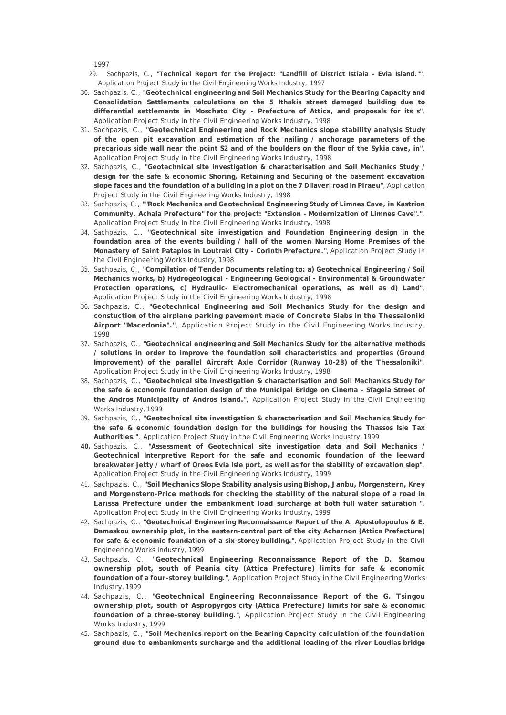1997

- 29. Sachpazis, C., **"Technical Report for the Project: "Landfill of District Istiaia Evia Island.""**, Application Project Study in the Civil Engineering Works Industry, 1997
- 30. Sachpazis, C., **"Geotechnical engineering and Soil Mechanics Study for the Bearing Capacity and Consolidation Settlements calculations on the 5 Ithakis street damaged building due to differential settlements in Moschato City - Prefecture of Attica, and proposals for its s"**, Application Project Study in the Civil Engineering Works Industry, 1998
- 31. Sachpazis, C., **"Geotechnical Engineering and Rock Mechanics slope stability analysis Study of the open pit excavation and estimation of the nailing / anchorage parameters of the precarious side wall near the point S2 and of the boulders on the floor of the Sykia cave, in"**, Application Project Study in the Civil Engineering Works Industry, 1998
- 32. Sachpazis, C., **"Geotechnical site investigation & characterisation and Soil Mechanics Study / design for the safe & economic Shoring, Retaining and Securing of the basement excavation slope faces and the foundation of a building in a plot on the 7 Dilaveri road in Piraeu"**, Application Project Study in the Civil Engineering Works Industry, 1998
- 33. Sachpazis, C., **""Rock Mechanics and Geotechnical Engineering Study of Limnes Cave, in Kastrion Community, Achaia Prefecture" for the project: "Extension - Modernization of Limnes Cave"."**, Application Project Study in the Civil Engineering Works Industry, 1998
- 34. Sachpazis, C., **"Geotechnical site investigation and Foundation Engineering design in the foundation area of the events building / hall of the women Nursing Home Premises of the Monastery of Saint Patapios in Loutraki City - Corinth Prefecture."**, Application Project Study in the Civil Engineering Works Industry, 1998
- 35. Sachpazis, C., **"Compilation of Tender Documents relating to: a) Geotechnical Engineering / Soil Mechanics works, b) Hydrogeological - Engineering Geological - Environmental & Groundwater Protection operations, c) Hydraulic- Electromechanical operations, as well as d) Land"**, Application Project Study in the Civil Engineering Works Industry, 1998
- 36. Sachpazis, C., **"Geotechnical Engineering and Soil Mechanics Study for the design and constuction of the airplane parking pavement made of Concrete Slabs in the Thessaloniki Airport "Macedonia"."**, Application Project Study in the Civil Engineering Works Industry, 1998
- 37. Sachpazis, C., **"Geotechnical engineering and Soil Mechanics Study for the alternative methods / solutions in order to improve the foundation soil characteristics and properties (Ground Improvement) of the parallel Aircraft Axle Corridor (Runway 10-28) of the Thessaloniki"**, Application Project Study in the Civil Engineering Works Industry, 1998
- 38. Sachpazis, C., **"Geotechnical site investigation & characterisation and Soil Mechanics Study for the safe & economic foundation design of the Municipal Bridge on Cinema - Sfageia Street of the Andros Municipality of Andros island."**, Application Project Study in the Civil Engineering Works Industry, 1999
- 39. Sachpazis, C., **"Geotechnical site investigation & characterisation and Soil Mechanics Study for the safe & economic foundation design for the buildings for housing the Thassos Isle Tax Authorities."**, Application Project Study in the Civil Engineering Works Industry, 1999
- **40.** Sachpazis, C., **"Assessment of Geotechnical site investigation data and Soil Mechanics / Geotechnical Interpretive Report for the safe and economic foundation of the leeward breakwater jetty / wharf of Oreos Evia Isle port, as well as for the stability of excavation slop"**, Application Project Study in the Civil Engineering Works Industry, 1999
- 41. Sachpazis, C., **"Soil Mechanics Slope Stability analysis using Bishop, Janbu, Morgenstern, Krey and Morgenstern-Price methods for checking the stability of the natural slope of a road in Larissa Prefecture under the embankment load surcharge at both full water saturation "**, Application Project Study in the Civil Engineering Works Industry, 1999
- 42. Sachpazis, C., **"Geotechnical Engineering Reconnaissance Report of the A. Apostolopoulos & E. Damaskou ownership plot, in the eastern-central part of the city Acharnon (Attica Prefecture) for safe & economic foundation of a six-storey building."**, Application Project Study in the Civil Engineering Works Industry, 1999
- 43. Sachpazis, C., **"Geotechnical Engineering Reconnaissance Report of the D. Stamou ownership plot, south of Peania city (Attica Prefecture) limits for safe & economic foundation of a four-storey building."**, Application Project Study in the Civil Engineering Works Industry, 1999
- 44. Sachpazis, C., **"Geotechnical Engineering Reconnaissance Report of the G. Tsingou ownership plot, south of Aspropyrgos city (Attica Prefecture) limits for safe & economic foundation of a three-storey building."**, Application Project Study in the Civil Engineering Works Industry, 1999
- 45. Sachpazis, C., **"Soil Mechanics report on the Bearing Capacity calculation of the foundation ground due to embankments surcharge and the additional loading of the river Loudias bridge**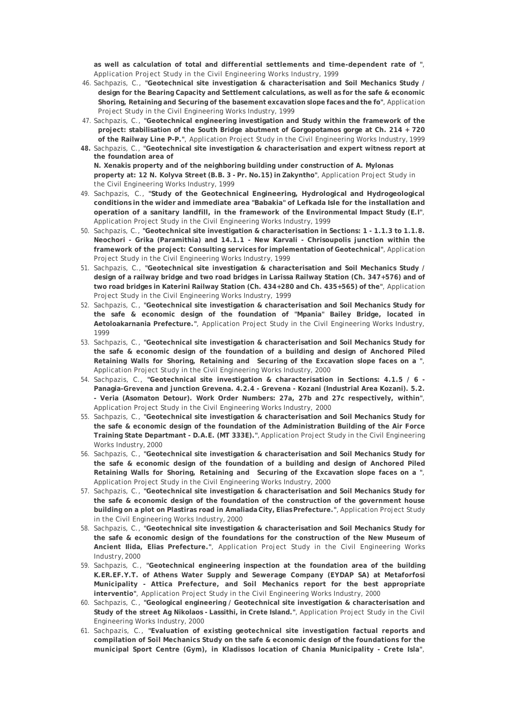**as well as calculation of total and differential settlements and time-dependent rate of "**, Application Project Study in the Civil Engineering Works Industry, 1999

- 46. Sachpazis, C., **"Geotechnical site investigation & characterisation and Soil Mechanics Study / design for the Bearing Capacity and Settlement calculations, as well as for the safe & economic Shoring, Retaining and Securing of the basement excavation slope faces and the fo"**, Application Project Study in the Civil Engineering Works Industry, 1999
- 47. Sachpazis, C., **"Geotechnical engineering investigation and Study within the framework of the project: stabilisation of the South Bridge abutment of Gorgopotamos gorge at Ch. 214 + 720 of the Railway Line P-P."**, Application Project Study in the Civil Engineering Works Industry, 1999
- **48.** Sachpazis, C., **"Geotechnical site investigation & characterisation and expert witness report at the foundation area of N. Xenakis property and of the neighboring building under construction of A. Mylonas property at: 12 N. Kolyva Street (B.B. 3 - Pr. No.15) in Zakyntho"**, Application Project Study in the Civil Engineering Works Industry, 1999
- 49. Sachpazis, C., **"Study of the Geotechnical Engineering, Hydrological and Hydrogeological conditions in the wider and immediate area "Babakia" of Lefkada Isle for the installation and operation of a sanitary landfill, in the framework of the Environmental Impact Study (E.I"**, Application Project Study in the Civil Engineering Works Industry, 1999
- 50. Sachpazis, C., **"Geotechnical site investigation & characterisation in Sections: 1 1.1.3 to 1.1.8. Neochori - Grika (Paramithia) and 14.1.1 - New Karvali - Chrisoupolis junction within the framework of the project: Consulting services for implementation of Geotechnical"**, Application Project Study in the Civil Engineering Works Industry, 1999
- 51. Sachpazis, C., **"Geotechnical site investigation & characterisation and Soil Mechanics Study / design of a railway bridge and two road bridges in Larissa Railway Station (Ch. 347+576) and of two road bridges in Katerini Railway Station (Ch. 434+280 and Ch. 435+565) of the"**, Application Project Study in the Civil Engineering Works Industry, 1999
- 52. Sachpazis, C., **"Geotechnical site investigation & characterisation and Soil Mechanics Study for the safe & economic design of the foundation of "Mpania" Bailey Bridge, located in Aetoloakarnania Prefecture."**, Application Project Study in the Civil Engineering Works Industry, 1999
- 53. Sachpazis, C., **"Geotechnical site investigation & characterisation and Soil Mechanics Study for the safe & economic design of the foundation of a building and design of Anchored Piled Retaining Walls for Shoring, Retaining and Securing of the Excavation slope faces on a "**, Application Project Study in the Civil Engineering Works Industry, 2000
- 54. Sachpazis, C., **"Geotechnical site investigation & characterisation in Sections: 4.1.5 / 6 Panagia-Grevena and junction Grevena. 4.2.4 - Grevena - Kozani (Industrial Area Kozani). 5.2. - Veria (Asomaton Detour). Work Order Numbers: 27a, 27b and 27c respectively, within"**, Application Project Study in the Civil Engineering Works Industry, 2000
- 55. Sachpazis, C., **"Geotechnical site investigation & characterisation and Soil Mechanics Study for the safe & economic design of the foundation of the Administration Building of the Air Force Training State Departmant - D.A.E. (MT 333E)."**, Application Project Study in the Civil Engineering Works Industry, 2000
- 56. Sachpazis, C., **"Geotechnical site investigation & characterisation and Soil Mechanics Study for the safe & economic design of the foundation of a building and design of Anchored Piled Retaining Walls for Shoring, Retaining and Securing of the Excavation slope faces on a "**, Application Project Study in the Civil Engineering Works Industry, 2000
- 57. Sachpazis, C., **"Geotechnical site investigation & characterisation and Soil Mechanics Study for the safe & economic design of the foundation of the construction of the government house building on a plot on Plastiras road in Amaliada City, Elias Prefecture."**, Application Project Study in the Civil Engineering Works Industry, 2000
- 58. Sachpazis, C., **"Geotechnical site investigation & characterisation and Soil Mechanics Study for the safe & economic design of the foundations for the construction of the New Museum of Ancient Ilida, Elias Prefecture."**, Application Project Study in the Civil Engineering Works Industry, 2000
- 59. Sachpazis, C., **"Geotechnical engineering inspection at the foundation area of the building K.ER.EF.Y.T. of Athens Water Supply and Sewerage Company (EYDAP SA) at Metaforfosi Municipality - Attica Prefecture, and Soil Mechanics report for the best appropriate interventio"**, Application Project Study in the Civil Engineering Works Industry, 2000
- 60. Sachpazis, C., **"Geological engineering / Geotechnical site investigation & characterisation and Study of the street Ag Nikolaos - Lassithi, in Crete Island."**, Application Project Study in the Civil Engineering Works Industry, 2000
- 61. Sachpazis, C., **"Evaluation of existing geotechnical site investigation factual reports and compilation of Soil Mechanics Study on the safe & economic design of the foundations for the municipal Sport Centre (Gym), in Kladissos location of Chania Municipality - Crete Isla"**,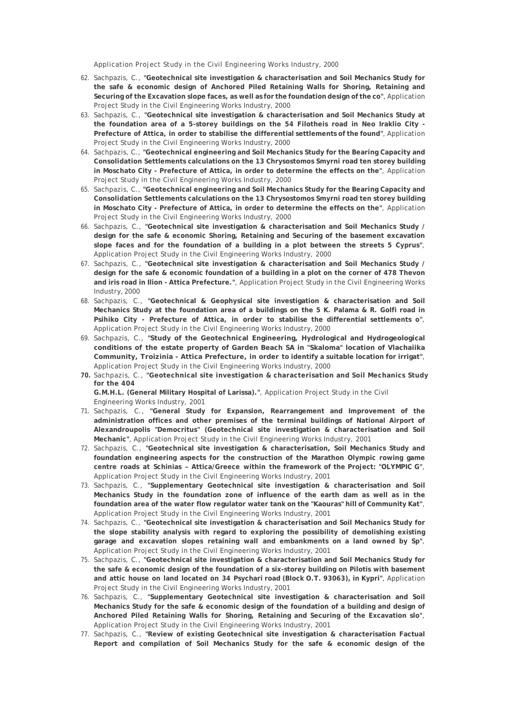Application Project Study in the Civil Engineering Works Industry, 2000

- 62. Sachpazis, C., **"Geotechnical site investigation & characterisation and Soil Mechanics Study for the safe & economic design of Anchored Piled Retaining Walls for Shoring, Retaining and Securing of the Excavation slope faces, as well as for the foundation design of the co"**, Application Project Study in the Civil Engineering Works Industry, 2000
- 63. Sachpazis, C., **"Geotechnical site investigation & characterisation and Soil Mechanics Study at the foundation area of a 5-storey buildings on the 54 Filotheis road in Neo Iraklio City - Prefecture of Attica, in order to stabilise the differential settlements of the found"**, Application Project Study in the Civil Engineering Works Industry, 2000
- 64. Sachpazis, C., **"Geotechnical engineering and Soil Mechanics Study for the Bearing Capacity and Consolidation Settlements calculations on the 13 Chrysostomos Smyrni road ten storey building in Moschato City - Prefecture of Attica, in order to determine the effects on the"**, Application Project Study in the Civil Engineering Works Industry, 2000
- 65. Sachpazis, C., **"Geotechnical engineering and Soil Mechanics Study for the Bearing Capacity and Consolidation Settlements calculations on the 13 Chrysostomos Smyrni road ten storey building in Moschato City - Prefecture of Attica, in order to determine the effects on the"**, Application Project Study in the Civil Engineering Works Industry, 2000
- 66. Sachpazis, C., **"Geotechnical site investigation & characterisation and Soil Mechanics Study / design for the safe & economic Shoring, Retaining and Securing of the basement excavation slope faces and for the foundation of a building in a plot between the streets 5 Cyprus"**, Application Project Study in the Civil Engineering Works Industry, 2000
- 67. Sachpazis, C., **"Geotechnical site investigation & characterisation and Soil Mechanics Study / design for the safe & economic foundation of a building in a plot on the corner of 478 Thevon and iris road in Ilion - Attica Prefecture."**, Application Project Study in the Civil Engineering Works Industry, 2000
- 68. Sachpazis, C., **"Geotechnical & Geophysical site investigation & characterisation and Soil Mechanics Study at the foundation area of a buildings on the 5 K. Palama & R. Golfi road in Psihiko City - Prefecture of Attica, in order to stabilise the differential settlements o"**, Application Project Study in the Civil Engineering Works Industry, 2000
- 69. Sachpazis, C., **"Study of the Geotechnical Engineering, Hydrological and Hydrogeological conditions of the estate property of Garden Beach SA in "Skaloma" location of Vlachaiika Community, Troizinia - Attica Prefecture, in order to identify a suitable location for irrigat"**, Application Project Study in the Civil Engineering Works Industry, 2000
- **70.** Sachpazis, C., **"Geotechnical site investigation & characterisation and Soil Mechanics Study for the 404**

**G.M.H.L. (General Military Hospital of Larissa)."**, Application Project Study in the Civil Engineering Works Industry, 2001

- 71. Sachpazis, C., **"General Study for Expansion, Rearrangement and Improvement of the administration offices and other premises of the terminal buildings of National Airport of Alexandroupolis "Democritus" (Geotechnical site investigation & characterisation and Soil Mechanic"**, Application Project Study in the Civil Engineering Works Industry, 2001
- 72. Sachpazis, C., **"Geotechnical site investigation & characterisation, Soil Mechanics Study and foundation engineering aspects for the construction of the Marathon Olympic rowing game centre roads at Schinias – Attica/Greece within the framework of the Project: "OLYMPIC G"**, Application Project Study in the Civil Engineering Works Industry, 2001
- 73. Sachpazis, C., **"Supplementary Geotechnical site investigation & characterisation and Soil Mechanics Study in the foundation zone of influence of the earth dam as well as in the foundation area of the water flow regulator water tank on the "Kaouras" hill of Community Kat"**, Application Project Study in the Civil Engineering Works Industry, 2001
- 74. Sachpazis, C., **"Geotechnical site investigation & characterisation and Soil Mechanics Study for the slope stability analysis with regard to exploring the possibility of demolishing existing garage and excavation slopes retaining wall and embankments on a land owned by Sp"**, Application Project Study in the Civil Engineering Works Industry, 2001
- 75. Sachpazis, C., **"Geotechnical site investigation & characterisation and Soil Mechanics Study for the safe & economic design of the foundation of a six-storey building on Pilotis with basement and attic house on land located on 34 Psychari road (Block O.T. 93063), in Kypri"**, Application Project Study in the Civil Engineering Works Industry, 2001
- 76. Sachpazis, C., **"Supplementary Geotechnical site investigation & characterisation and Soil Mechanics Study for the safe & economic design of the foundation of a building and design of Anchored Piled Retaining Walls for Shoring, Retaining and Securing of the Excavation slo"**, Application Project Study in the Civil Engineering Works Industry, 2001
- 77. Sachpazis, C., **"Review of existing Geotechnical site investigation & characterisation Factual Report and compilation of Soil Mechanics Study for the safe & economic design of the**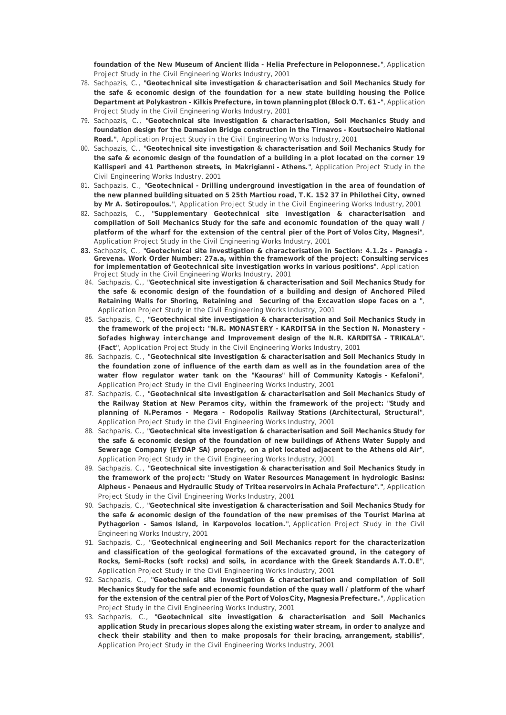**foundation of the New Museum of Ancient Ilida - Helia Prefecture in Peloponnese."**, Application Project Study in the Civil Engineering Works Industry, 2001

- 78. Sachpazis, C., **"Geotechnical site investigation & characterisation and Soil Mechanics Study for the safe & economic design of the foundation for a new state building housing the Police Department at Polykastron - Kilkis Prefecture, in town planning plot (Block O.T. 61 -"**, Application Project Study in the Civil Engineering Works Industry, 2001
- 79. Sachpazis, C., **"Geotechnical site investigation & characterisation, Soil Mechanics Study and foundation design for the Damasion Bridge construction in the Tirnavos - Koutsocheiro National Road."**, Application Project Study in the Civil Engineering Works Industry, 2001
- 80. Sachpazis, C., **"Geotechnical site investigation & characterisation and Soil Mechanics Study for the safe & economic design of the foundation of a building in a plot located on the corner 19 Kallisperi and 41 Parthenon streets, in Makrigianni - Athens."**, Application Project Study in the Civil Engineering Works Industry, 2001
- 81. Sachpazis, C., **"Geotechnical Drilling underground investigation in the area of foundation of the new planned building situated on 5 25th Martiou road, T.K. 152 37 in Philothei City, owned by Mr A. Sotiropoulos."**, Application Project Study in the Civil Engineering Works Industry, 2001
- 82. Sachpazis, C., **"Supplementary Geotechnical site investigation & characterisation and compilation of Soil Mechanics Study for the safe and economic foundation of the quay wall / platform of the wharf for the extension of the central pier of the Port of Volos City, Magnesi"**, Application Project Study in the Civil Engineering Works Industry, 2001
- **83.** Sachpazis, C., **"Geotechnical site investigation & characterisation in Section: 4.1.2s Panagia Grevena. Work Order Number: 27a.a, within the framework of the project: Consulting services for implementation of Geotechnical site investigation works in various positions"**, Application Project Study in the Civil Engineering Works Industry, 2001
- 84. Sachpazis, C., **"Geotechnical site investigation & characterisation and Soil Mechanics Study for the safe & economic design of the foundation of a building and design of Anchored Piled Retaining Walls for Shoring, Retaining and Securing of the Excavation slope faces on a "**, Application Project Study in the Civil Engineering Works Industry, 2001
- 85. Sachpazis, C., **"Geotechnical site investigation & characterisation and Soil Mechanics Study in the framework of the project: "N.R. MONASTERY - KARDITSA in the Section N. Monastery - Sofades highway interchange and Improvement design of the N.R. KARDITSA - TRIKALA". (Fact"**, Application Project Study in the Civil Engineering Works Industry, 2001
- 86. Sachpazis, C., **"Geotechnical site investigation & characterisation and Soil Mechanics Study in the foundation zone of influence of the earth dam as well as in the foundation area of the water flow regulator water tank on the "Kaouras" hill of Community Katogis - Kefaloni"**, Application Project Study in the Civil Engineering Works Industry, 2001
- 87. Sachpazis, C., **"Geotechnical site investigation & characterisation and Soil Mechanics Study of the Railway Station at New Peramos city, within the framework of the project: "Study and planning of N.Peramos - Megara - Rodopolis Railway Stations (Architectural, Structural"**, Application Project Study in the Civil Engineering Works Industry, 2001
- 88. Sachpazis, C., **"Geotechnical site investigation & characterisation and Soil Mechanics Study for the safe & economic design of the foundation of new buildings of Athens Water Supply and Sewerage Company (EYDAP SA) property, on a plot located adjacent to the Athens old Air"**, Application Project Study in the Civil Engineering Works Industry, 2001
- 89. Sachpazis, C., **"Geotechnical site investigation & characterisation and Soil Mechanics Study in the framework of the project: "Study on Water Resources Management in hydrologic Basins: Alpheus - Penaeus and Hydraulic Study of Tritea reservoirs in Achaia Prefecture"."**, Application Project Study in the Civil Engineering Works Industry, 2001
- 90. Sachpazis, C., **"Geotechnical site investigation & characterisation and Soil Mechanics Study for the safe & economic design of the foundation of the new premises of the Tourist Marina at Pythagorion - Samos Island, in Karpovolos location."**, Application Project Study in the Civil Engineering Works Industry, 2001
- 91. Sachpazis, C., **"Geotechnical engineering and Soil Mechanics report for the characterization and classification of the geological formations of the excavated ground, in the category of Rocks, Semi-Rocks (soft rocks) and soils, in acordance with the Greek Standards A.T.O.E"**, Application Project Study in the Civil Engineering Works Industry, 2001
- 92. Sachpazis, C., **"Geotechnical site investigation & characterisation and compilation of Soil Mechanics Study for the safe and economic foundation of the quay wall / platform of the wharf for the extension of the central pier of the Port of Volos City, Magnesia Prefecture."**, Application Project Study in the Civil Engineering Works Industry, 2001
- 93. Sachpazis, C., **"Geotechnical site investigation & characterisation and Soil Mechanics application Study in precarious slopes along the existing water stream, in order to analyze and check their stability and then to make proposals for their bracing, arrangement, stabilis"**, Application Project Study in the Civil Engineering Works Industry, 2001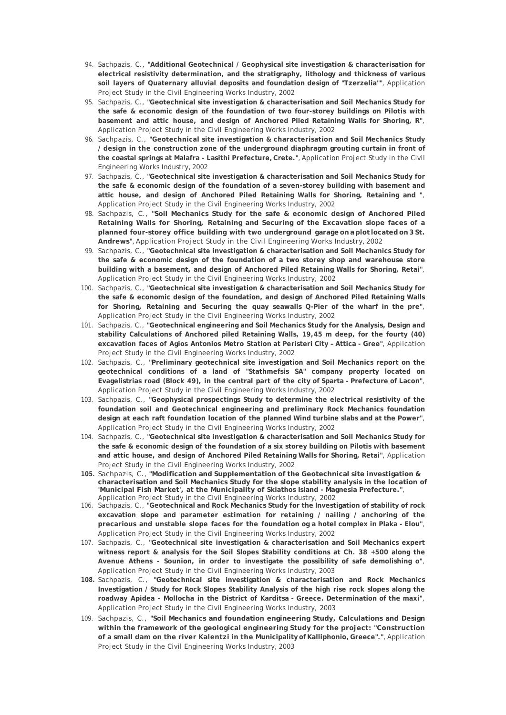- 94. Sachpazis, C., **"Additional Geotechnical / Geophysical site investigation & characterisation for electrical resistivity determination, and the stratigraphy, lithology and thickness of various soil layers of Quaternary alluvial deposits and foundation design of "Tzerzelia""**, Application Project Study in the Civil Engineering Works Industry, 2002
- 95. Sachpazis, C., **"Geotechnical site investigation & characterisation and Soil Mechanics Study for the safe & economic design of the foundation of two four-storey buildings on Pilotis with basement and attic house, and design of Anchored Piled Retaining Walls for Shoring, R"**, Application Project Study in the Civil Engineering Works Industry, 2002
- 96. Sachpazis, C., **"Geotechnical site investigation & characterisation and Soil Mechanics Study / design in the construction zone of the underground diaphragm grouting curtain in front of the coastal springs at Malafra - Lasithi Prefecture, Crete."**, Application Project Study in the Civil Engineering Works Industry, 2002
- 97. Sachpazis, C., **"Geotechnical site investigation & characterisation and Soil Mechanics Study for the safe & economic design of the foundation of a seven-storey building with basement and attic house, and design of Anchored Piled Retaining Walls for Shoring, Retaining and "**, Application Project Study in the Civil Engineering Works Industry, 2002
- 98. Sachpazis, C., **"Soil Mechanics Study for the safe & economic design of Anchored Piled Retaining Walls for Shoring, Retaining and Securing of the Excavation slope faces of a planned four-storey office building with two underground garage on a plot located on 3 St. Andrews"**, Application Project Study in the Civil Engineering Works Industry, 2002
- 99. Sachpazis, C., **"Geotechnical site investigation & characterisation and Soil Mechanics Study for the safe & economic design of the foundation of a two storey shop and warehouse store building with a basement, and design of Anchored Piled Retaining Walls for Shoring, Retai"**, Application Project Study in the Civil Engineering Works Industry, 2002
- 100. Sachpazis, C., **"Geotechnical site investigation & characterisation and Soil Mechanics Study for the safe & economic design of the foundation, and design of Anchored Piled Retaining Walls for Shoring, Retaining and Securing the quay seawalls Q-Pier of the wharf in the pre"**, Application Project Study in the Civil Engineering Works Industry, 2002
- 101. Sachpazis, C., **"Geotechnical engineering and Soil Mechanics Study for the Analysis, Design and stability Calculations of Anchored piled Retaining Walls, 19,45 m deep, for the fourty (40) excavation faces of Agios Antonios Metro Station at Peristeri City – Attica - Gree"**, Application Project Study in the Civil Engineering Works Industry, 2002
- 102. Sachpazis, C., **"Preliminary geotechnical site investigation and Soil Mechanics report on the geotechnical conditions of a land of "Stathmefsis SA" company property located on Evagelistrias road (Block 49), in the central part of the city of Sparta - Prefecture of Lacon"**, Application Project Study in the Civil Engineering Works Industry, 2002
- 103. Sachpazis, C., **"Geophysical prospectings Study to determine the electrical resistivity of the foundation soil and Geotechnical engineering and preliminary Rock Mechanics foundation design at each raft foundation location of the planned Wind turbine slabs and at the Power"**, Application Project Study in the Civil Engineering Works Industry, 2002
- 104. Sachpazis, C., **"Geotechnical site investigation & characterisation and Soil Mechanics Study for the safe & economic design of the foundation of a six storey building on Pilotis with basement and attic house, and design of Anchored Piled Retaining Walls for Shoring, Retai"**, Application Project Study in the Civil Engineering Works Industry, 2002
- **105.** Sachpazis, C., **"Modification and Supplementation of the Geotechnical site investigation & characterisation and Soil Mechanics Study for the slope stability analysis in the location of 'Municipal Fish Market', at the Municipality of Skiathos Island - Magnesia Prefecture."**, Application Project Study in the Civil Engineering Works Industry, 2002
- 106. Sachpazis, C., **"Geotechnical and Rock Mechanics Study for the Investigation of stability of rock excavation slope and parameter estimation for retaining / nailing / anchoring of the precarious and unstable slope faces for the foundation og a hotel complex in Plaka - Elou"**, Application Project Study in the Civil Engineering Works Industry, 2002
- 107. Sachpazis, C., **"Geotechnical site investigation & characterisation and Soil Mechanics expert witness report & analysis for the Soil Slopes Stability conditions at Ch. 38 +500 along the Avenue Athens - Sounion, in order to investigate the possibility of safe demolishing o"**, Application Project Study in the Civil Engineering Works Industry, 2003
- **108.** Sachpazis, C., **"Geotechnical site investigation & characterisation and Rock Mechanics Investigation / Study for Rock Slopes Stability Analysis of the high rise rock slopes along the roadway Apidea - Mollocha in the District of Karditsa - Greece. Determination of the maxi"**, Application Project Study in the Civil Engineering Works Industry, 2003
- 109. Sachpazis, C., **"Soil Mechanics and foundation engineering Study, Calculations and Design within the framework of the geological engineering Study for the project: "Construction of a small dam on the river Kalentzi in the Municipality of Kalliphonio, Greece"."**, Application Project Study in the Civil Engineering Works Industry, 2003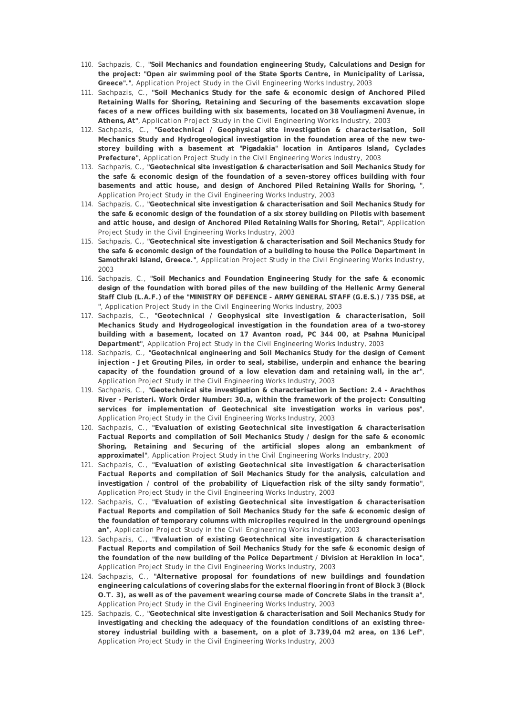- 110. Sachpazis, C., **"Soil Mechanics and foundation engineering Study, Calculations and Design for the project: "Open air swimming pool of the State Sports Centre, in Municipality of Larissa, Greece"."**, Application Project Study in the Civil Engineering Works Industry, 2003
- 111. Sachpazis, C., **"Soil Mechanics Study for the safe & economic design of Anchored Piled Retaining Walls for Shoring, Retaining and Securing of the basements excavation slope faces of a new offices building with six basements, located on 38 Vouliagmeni Avenue, in Athens, At"**, Application Project Study in the Civil Engineering Works Industry, 2003
- 112. Sachpazis, C., **"Geotechnical / Geophysical site investigation & characterisation, Soil Mechanics Study and Hydrogeological investigation in the foundation area of the new twostorey building with a basement at "Pigadakia" location in Antiparos Island, Cyclades Prefecture"**, Application Project Study in the Civil Engineering Works Industry, 2003
- 113. Sachpazis, C., **"Geotechnical site investigation & characterisation and Soil Mechanics Study for the safe & economic design of the foundation of a seven-storey offices building with four basements and attic house, and design of Anchored Piled Retaining Walls for Shoring, "**, Application Project Study in the Civil Engineering Works Industry, 2003
- 114. Sachpazis, C., **"Geotechnical site investigation & characterisation and Soil Mechanics Study for the safe & economic design of the foundation of a six storey building on Pilotis with basement and attic house, and design of Anchored Piled Retaining Walls for Shoring, Retai"**, Application Project Study in the Civil Engineering Works Industry, 2003
- 115. Sachpazis, C., **"Geotechnical site investigation & characterisation and Soil Mechanics Study for the safe & economic design of the foundation of a building to house the Police Department in Samothraki Island, Greece."**, Application Project Study in the Civil Engineering Works Industry, 2003
- 116. Sachpazis, C., **"Soil Mechanics and Foundation Engineering Study for the safe & economic design of the foundation with bored piles of the new building of the Hellenic Army General Staff Club (L.A.F.) of the "MINISTRY OF DEFENCE - ARMY GENERAL STAFF (G.E.S.) / 735 DSE, at "**, Application Project Study in the Civil Engineering Works Industry, 2003
- 117. Sachpazis, C., **"Geotechnical / Geophysical site investigation & characterisation, Soil Mechanics Study and Hydrogeological investigation in the foundation area of a two-storey building with a basement, located on 17 Avanton road, PC 344 00, at Psahna Municipal Department"**, Application Project Study in the Civil Engineering Works Industry, 2003
- 118. Sachpazis, C., **"Geotechnical engineering and Soil Mechanics Study for the design of Cement injection - Jet Grouting Piles, in order to seal, stabilise, underpin and enhance the bearing capacity of the foundation ground of a low elevation dam and retaining wall, in the ar"**, Application Project Study in the Civil Engineering Works Industry, 2003
- 119. Sachpazis, C., **"Geotechnical site investigation & characterisation in Section: 2.4 Arachthos River - Peristeri. Work Order Number: 30.a, within the framework of the project: Consulting services for implementation of Geotechnical site investigation works in various pos"**, Application Project Study in the Civil Engineering Works Industry, 2003
- 120. Sachpazis, C., **"Evaluation of existing Geotechnical site investigation & characterisation Factual Reports and compilation of Soil Mechanics Study / design for the safe & economic Shoring, Retaining and Securing of the artificial slopes along an embankment of approximatel"**, Application Project Study in the Civil Engineering Works Industry, 2003
- 121. Sachpazis, C., **"Evaluation of existing Geotechnical site investigation & characterisation Factual Reports and compilation of Soil Mechanics Study for the analysis, calculation and investigation / control of the probability of Liquefaction risk of the silty sandy formatio"**, Application Project Study in the Civil Engineering Works Industry, 2003
- 122. Sachpazis, C., **"Evaluation of existing Geotechnical site investigation & characterisation Factual Reports and compilation of Soil Mechanics Study for the safe & economic design of the foundation of temporary columns with micropiles required in the underground openings an"**, Application Project Study in the Civil Engineering Works Industry, 2003
- 123. Sachpazis, C., **"Evaluation of existing Geotechnical site investigation & characterisation Factual Reports and compilation of Soil Mechanics Study for the safe & economic design of the foundation of the new building of the Police Department / Division at Heraklion in loca"**, Application Project Study in the Civil Engineering Works Industry, 2003
- 124. Sachpazis, C., **"Alternative proposal for foundations of new buildings and foundation engineering calculations of covering slabs for the external flooring in front of Block 3 (Block O.T. 3), as well as of the pavement wearing course made of Concrete Slabs in the transit a"**, Application Project Study in the Civil Engineering Works Industry, 2003
- 125. Sachpazis, C., **"Geotechnical site investigation & characterisation and Soil Mechanics Study for investigating and checking the adequacy of the foundation conditions of an existing threestorey industrial building with a basement, on a plot of 3.739,04 m2 area, on 136 Lef"**, Application Project Study in the Civil Engineering Works Industry, 2003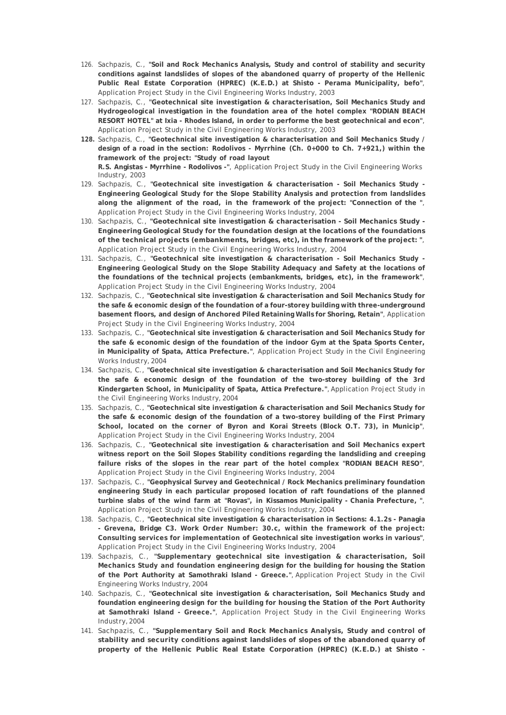- 126. Sachpazis, C., **"Soil and Rock Mechanics Analysis, Study and control of stability and security conditions against landslides of slopes of the abandoned quarry of property of the Hellenic Public Real Estate Corporation (HPREC) (K.E.D.) at Shisto - Perama Municipality, befo"**, Application Project Study in the Civil Engineering Works Industry, 2003
- 127. Sachpazis, C., **"Geotechnical site investigation & characterisation, Soil Mechanics Study and Hydrogeological investigation in the foundation area of the hotel complex "RODIAN BEACH RESORT HOTEL" at Ixia - Rhodes Island, in order to performe the best geotechnical and econ"**, Application Project Study in the Civil Engineering Works Industry, 2003
- **128.** Sachpazis, C., **"Geotechnical site investigation & characterisation and Soil Mechanics Study / design of a road in the section: Rodolivos - Myrrhine (Ch. 0+000 to Ch. 7+921,) within the framework of the project: "Study of road layout R.S. Angistas - Myrrhine - Rodolivos -"**, Application Project Study in the Civil Engineering Works
- Industry, 2003 129. Sachpazis, C., **"Geotechnical site investigation & characterisation - Soil Mechanics Study - Engineering Geological Study for the Slope Stability Analysis and protection from landslides along the alignment of the road, in the framework of the project: "Connection of the "**, Application Project Study in the Civil Engineering Works Industry, 2004
- 130. Sachpazis, C., **"Geotechnical site investigation & characterisation Soil Mechanics Study Engineering Geological Study for the foundation design at the locations of the foundations of the technical projects (embankments, bridges, etc), in the framework of the project: "**, Application Project Study in the Civil Engineering Works Industry, 2004
- 131. Sachpazis, C., **"Geotechnical site investigation & characterisation Soil Mechanics Study Engineering Geological Study on the Slope Stability Adequacy and Safety at the locations of the foundations of the technical projects (embankments, bridges, etc), in the framework"**, Application Project Study in the Civil Engineering Works Industry, 2004
- 132. Sachpazis, C., **"Geotechnical site investigation & characterisation and Soil Mechanics Study for the safe & economic design of the foundation of a four-storey building with three-underground basement floors, and design of Anchored Piled Retaining Walls for Shoring, Retain"**, Application Project Study in the Civil Engineering Works Industry, 2004
- 133. Sachpazis, C., **"Geotechnical site investigation & characterisation and Soil Mechanics Study for the safe & economic design of the foundation of the indoor Gym at the Spata Sports Center, in Municipality of Spata, Attica Prefecture."**, Application Project Study in the Civil Engineering Works Industry, 2004
- 134. Sachpazis, C., **"Geotechnical site investigation & characterisation and Soil Mechanics Study for the safe & economic design of the foundation of the two-storey building of the 3rd Kindergarten School, in Municipality of Spata, Attica Prefecture."**, Application Project Study in the Civil Engineering Works Industry, 2004
- 135. Sachpazis, C., **"Geotechnical site investigation & characterisation and Soil Mechanics Study for the safe & economic design of the foundation of a two-storey building of the First Primary School, located on the corner of Byron and Korai Streets (Block O.T. 73), in Municip"**, Application Project Study in the Civil Engineering Works Industry, 2004
- 136. Sachpazis, C., **"Geotechnical site investigation & characterisation and Soil Mechanics expert witness report on the Soil Slopes Stability conditions regarding the landsliding and creeping failure risks of the slopes in the rear part of the hotel complex "RODIAN BEACH RESO"**, Application Project Study in the Civil Engineering Works Industry, 2004
- 137. Sachpazis, C., **"Geophysical Survey and Geotechnical / Rock Mechanics preliminary foundation engineering Study in each particular proposed location of raft foundations of the planned turbine slabs of the wind farm at "Rovas", in Kissamos Municipality - Chania Prefecture, "**, Application Project Study in the Civil Engineering Works Industry, 2004
- 138. Sachpazis, C., **"Geotechnical site investigation & characterisation in Sections: 4.1.2s Panagia - Grevena, Bridge C3. Work Order Number: 30.c, within the framework of the project: Consulting services for implementation of Geotechnical site investigation works in various"**, Application Project Study in the Civil Engineering Works Industry, 2004
- 139. Sachpazis, C., **"Supplementary geotechnical site investigation & characterisation, Soil Mechanics Study and foundation engineering design for the building for housing the Station of the Port Authority at Samothraki Island - Greece."**, Application Project Study in the Civil Engineering Works Industry, 2004
- 140. Sachpazis, C., **"Geotechnical site investigation & characterisation, Soil Mechanics Study and foundation engineering design for the building for housing the Station of the Port Authority at Samothraki Island - Greece."**, Application Project Study in the Civil Engineering Works Industry, 2004
- 141. Sachpazis, C., **"Supplementary Soil and Rock Mechanics Analysis, Study and control of stability and security conditions against landslides of slopes of the abandoned quarry of property of the Hellenic Public Real Estate Corporation (HPREC) (K.E.D.) at Shisto -**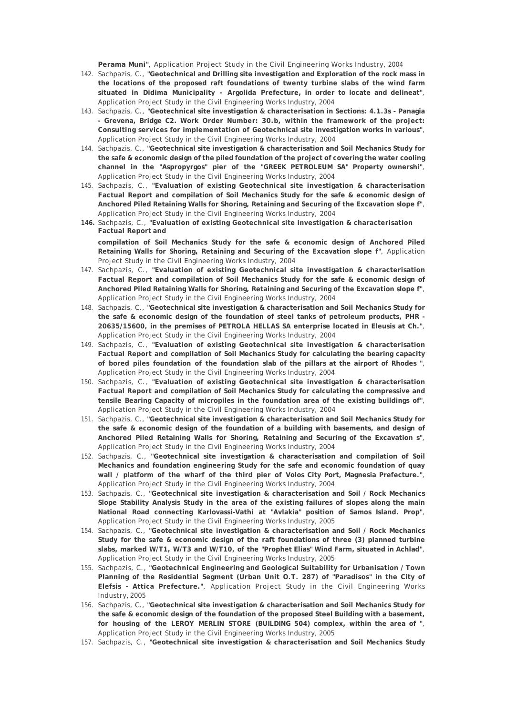**Perama Muni"**, Application Project Study in the Civil Engineering Works Industry, 2004

- 142. Sachpazis, C., **"Geotechnical and Drilling site investigation and Exploration of the rock mass in the locations of the proposed raft foundations of twenty turbine slabs of the wind farm situated in Didima Municipality - Argolida Prefecture, in order to locate and delineat"**, Application Project Study in the Civil Engineering Works Industry, 2004
- 143. Sachpazis, C., **"Geotechnical site investigation & characterisation in Sections: 4.1.3s Panagia - Grevena, Bridge C2. Work Order Number: 30.b, within the framework of the project: Consulting services for implementation of Geotechnical site investigation works in various"**, Application Project Study in the Civil Engineering Works Industry, 2004
- 144. Sachpazis, C., **"Geotechnical site investigation & characterisation and Soil Mechanics Study for the safe & economic design of the piled foundation of the project of covering the water cooling channel in the "Aspropyrgos" pier of the "GREEK PETROLEUM SA" Property ownershi"**, Application Project Study in the Civil Engineering Works Industry, 2004
- 145. Sachpazis, C., **"Evaluation of existing Geotechnical site investigation & characterisation Factual Report and compilation of Soil Mechanics Study for the safe & economic design of Anchored Piled Retaining Walls for Shoring, Retaining and Securing of the Excavation slope f"**, Application Project Study in the Civil Engineering Works Industry, 2004
- **146.** Sachpazis, C., **"Evaluation of existing Geotechnical site investigation & characterisation Factual Report and compilation of Soil Mechanics Study for the safe & economic design of Anchored Piled**

**Retaining Walls for Shoring, Retaining and Securing of the Excavation slope f"**, Application Project Study in the Civil Engineering Works Industry, 2004

- 147. Sachpazis, C., **"Evaluation of existing Geotechnical site investigation & characterisation Factual Report and compilation of Soil Mechanics Study for the safe & economic design of Anchored Piled Retaining Walls for Shoring, Retaining and Securing of the Excavation slope f"**, Application Project Study in the Civil Engineering Works Industry, 2004
- 148. Sachpazis, C., **"Geotechnical site investigation & characterisation and Soil Mechanics Study for the safe & economic design of the foundation of steel tanks of petroleum products, PHR - 20635/15600, in the premises of PETROLA HELLAS SA enterprise located in Eleusis at Ch."**, Application Project Study in the Civil Engineering Works Industry, 2004
- 149. Sachpazis, C., **"Evaluation of existing Geotechnical site investigation & characterisation Factual Report and compilation of Soil Mechanics Study for calculating the bearing capacity of bored piles foundation of the foundation slab of the pillars at the airport of Rhodes "**, Application Project Study in the Civil Engineering Works Industry, 2004
- 150. Sachpazis, C., **"Evaluation of existing Geotechnical site investigation & characterisation Factual Report and compilation of Soil Mechanics Study for calculating the compressive and tensile Bearing Capacity of micropiles in the foundation area of the existing buildings of"**, Application Project Study in the Civil Engineering Works Industry, 2004
- 151. Sachpazis, C., **"Geotechnical site investigation & characterisation and Soil Mechanics Study for the safe & economic design of the foundation of a building with basements, and design of Anchored Piled Retaining Walls for Shoring, Retaining and Securing of the Excavation s"**, Application Project Study in the Civil Engineering Works Industry, 2004
- 152. Sachpazis, C., **"Geotechnical site investigation & characterisation and compilation of Soil Mechanics and foundation engineering Study for the safe and economic foundation of quay wall / platform of the wharf of the third pier of Volos City Port, Magnesia Prefecture."**, Application Project Study in the Civil Engineering Works Industry, 2004
- 153. Sachpazis, C., **"Geotechnical site investigation & characterisation and Soil / Rock Mechanics Slope Stability Analysis Study in the area of the existing failures of slopes along the main National Road connecting Karlovassi-Vathi at "Avlakia" position of Samos Island. Prop"**, Application Project Study in the Civil Engineering Works Industry, 2005
- 154. Sachpazis, C., **"Geotechnical site investigation & characterisation and Soil / Rock Mechanics Study for the safe & economic design of the raft foundations of three (3) planned turbine slabs, marked W/T1, W/T3 and W/T10, of the "Prophet Elias" Wind Farm, situated in Achlad"**, Application Project Study in the Civil Engineering Works Industry, 2005
- 155. Sachpazis, C., **"Geotechnical Engineering and Geological Suitability for Urbanisation / Town Planning of the Residential Segment (Urban Unit O.T. 287) of "Paradisos" in the City of Elefsis - Attica Prefecture."**, Application Project Study in the Civil Engineering Works Industry, 2005
- 156. Sachpazis, C., **"Geotechnical site investigation & characterisation and Soil Mechanics Study for the safe & economic design of the foundation of the proposed Steel Building with a basement, for housing of the LEROY MERLIN STORE (BUILDING 504) complex, within the area of "**, Application Project Study in the Civil Engineering Works Industry, 2005
- 157. Sachpazis, C., **"Geotechnical site investigation & characterisation and Soil Mechanics Study**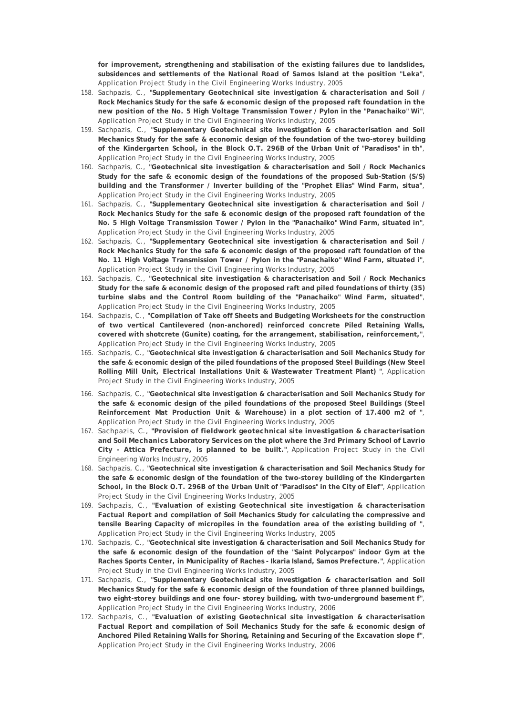**for improvement, strengthening and stabilisation of the existing failures due to landslides, subsidences and settlements of the National Road of Samos Island at the position "Leka"**, Application Project Study in the Civil Engineering Works Industry, 2005

- 158. Sachpazis, C., **"Supplementary Geotechnical site investigation & characterisation and Soil / Rock Mechanics Study for the safe & economic design of the proposed raft foundation in the new position of the No. 5 High Voltage Transmission Tower / Pylon in the "Panachaiko" Wi"**, Application Project Study in the Civil Engineering Works Industry, 2005
- 159. Sachpazis, C., **"Supplementary Geotechnical site investigation & characterisation and Soil Mechanics Study for the safe & economic design of the foundation of the two-storey building of the Kindergarten School, in the Block O.T. 296B of the Urban Unit of "Paradisos" in th"**, Application Project Study in the Civil Engineering Works Industry, 2005
- 160. Sachpazis, C., **"Geotechnical site investigation & characterisation and Soil / Rock Mechanics Study for the safe & economic design of the foundations of the proposed Sub-Station (S/S) building and the Transformer / Inverter building of the "Prophet Elias" Wind Farm, situa"**, Application Project Study in the Civil Engineering Works Industry, 2005
- 161. Sachpazis, C., **"Supplementary Geotechnical site investigation & characterisation and Soil / Rock Mechanics Study for the safe & economic design of the proposed raft foundation of the No. 5 High Voltage Transmission Tower / Pylon in the "Panachaiko" Wind Farm, situated in"**, Application Project Study in the Civil Engineering Works Industry, 2005
- 162. Sachpazis, C., **"Supplementary Geotechnical site investigation & characterisation and Soil / Rock Mechanics Study for the safe & economic design of the proposed raft foundation of the No. 11 High Voltage Transmission Tower / Pylon in the "Panachaiko" Wind Farm, situated i"**, Application Project Study in the Civil Engineering Works Industry, 2005
- 163. Sachpazis, C., **"Geotechnical site investigation & characterisation and Soil / Rock Mechanics Study for the safe & economic design of the proposed raft and piled foundations of thirty (35) turbine slabs and the Control Room building of the "Panachaiko" Wind Farm, situated"**, Application Project Study in the Civil Engineering Works Industry, 2005
- 164. Sachpazis, C., **"Compilation of Take off Sheets and Budgeting Worksheets for the construction of two vertical Cantilevered (non-anchored) reinforced concrete Piled Retaining Walls, covered with shotcrete (Gunite) coating, for the arrangement, stabilisation, reinforcement,"**, Application Project Study in the Civil Engineering Works Industry, 2005
- 165. Sachpazis, C., **"Geotechnical site investigation & characterisation and Soil Mechanics Study for the safe & economic design of the piled foundations of the proposed Steel Buildings (New Steel Rolling Mill Unit, Electrical Installations Unit & Wastewater Treatment Plant) "**, Application Project Study in the Civil Engineering Works Industry, 2005
- 166. Sachpazis, C., **"Geotechnical site investigation & characterisation and Soil Mechanics Study for the safe & economic design of the piled foundations of the proposed Steel Buildings (Steel Reinforcement Mat Production Unit & Warehouse) in a plot section of 17.400 m2 of "**, Application Project Study in the Civil Engineering Works Industry, 2005
- 167. Sachpazis, C., **"Provision of fieldwork geotechnical site investigation & characterisation and Soil Mechanics Laboratory Services on the plot where the 3rd Primary School of Lavrio City - Attica Prefecture, is planned to be built."**, Application Project Study in the Civil Engineering Works Industry, 2005
- 168. Sachpazis, C., **"Geotechnical site investigation & characterisation and Soil Mechanics Study for the safe & economic design of the foundation of the two-storey building of the Kindergarten School, in the Block O.T. 296B of the Urban Unit of "Paradisos" in the City of Elef"**, Application Project Study in the Civil Engineering Works Industry, 2005
- 169. Sachpazis, C., **"Evaluation of existing Geotechnical site investigation & characterisation Factual Report and compilation of Soil Mechanics Study for calculating the compressive and tensile Bearing Capacity of micropiles in the foundation area of the existing building of "**, Application Project Study in the Civil Engineering Works Industry, 2005
- 170. Sachpazis, C., **"Geotechnical site investigation & characterisation and Soil Mechanics Study for the safe & economic design of the foundation of the "Saint Polycarpos" indoor Gym at the Raches Sports Center, in Municipality of Raches - Ikaria Island, Samos Prefecture."**, Application Project Study in the Civil Engineering Works Industry, 2005
- 171. Sachpazis, C., **"Supplementary Geotechnical site investigation & characterisation and Soil Mechanics Study for the safe & economic design of the foundation of three planned buildings, two eight-storey buildings and one four- storey building, with two-underground basement f"**, Application Project Study in the Civil Engineering Works Industry, 2006
- 172. Sachpazis, C., **"Evaluation of existing Geotechnical site investigation & characterisation Factual Report and compilation of Soil Mechanics Study for the safe & economic design of Anchored Piled Retaining Walls for Shoring, Retaining and Securing of the Excavation slope f"**, Application Project Study in the Civil Engineering Works Industry, 2006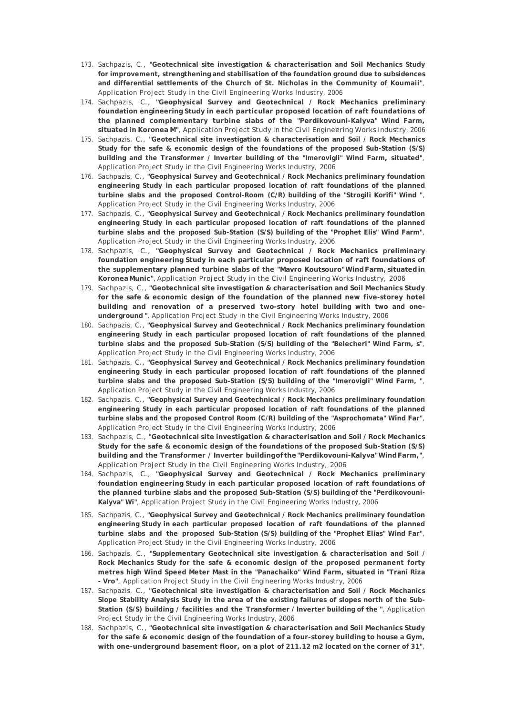- 173. Sachpazis, C., **"Geotechnical site investigation & characterisation and Soil Mechanics Study for improvement, strengthening and stabilisation of the foundation ground due to subsidences and differential settlements of the Church of St. Nicholas in the Community of Koumaii"**, Application Project Study in the Civil Engineering Works Industry, 2006
- 174. Sachpazis, C., **"Geophysical Survey and Geotechnical / Rock Mechanics preliminary foundation engineering Study in each particular proposed location of raft foundations of the planned complementary turbine slabs of the "Perdikovouni-Kalyva" Wind Farm, situated in Koronea M"**, Application Project Study in the Civil Engineering Works Industry, 2006
- 175. Sachpazis, C., **"Geotechnical site investigation & characterisation and Soil / Rock Mechanics Study for the safe & economic design of the foundations of the proposed Sub-Station (S/S) building and the Transformer / Inverter building of the "Imerovigli" Wind Farm, situated"**, Application Project Study in the Civil Engineering Works Industry, 2006
- 176. Sachpazis, C., **"Geophysical Survey and Geotechnical / Rock Mechanics preliminary foundation engineering Study in each particular proposed location of raft foundations of the planned turbine slabs and the proposed Control-Room (C/R) building of the "Strogili Korifi" Wind "**, Application Project Study in the Civil Engineering Works Industry, 2006
- 177. Sachpazis, C., **"Geophysical Survey and Geotechnical / Rock Mechanics preliminary foundation engineering Study in each particular proposed location of raft foundations of the planned turbine slabs and the proposed Sub-Station (S/S) building of the "Prophet Elis" Wind Farm"**, Application Project Study in the Civil Engineering Works Industry, 2006
- 178. Sachpazis, C., **"Geophysical Survey and Geotechnical / Rock Mechanics preliminary foundation engineering Study in each particular proposed location of raft foundations of the supplementary planned turbine slabs of the "Mavro Koutsouro" Wind Farm, situated in Koronea Munic"**, Application Project Study in the Civil Engineering Works Industry, 2006
- 179. Sachpazis, C., **"Geotechnical site investigation & characterisation and Soil Mechanics Study for the safe & economic design of the foundation of the planned new five-storey hotel building and renovation of a preserved two-story hotel building with two and oneunderground "**, Application Project Study in the Civil Engineering Works Industry, 2006
- 180. Sachpazis, C., **"Geophysical Survey and Geotechnical / Rock Mechanics preliminary foundation engineering Study in each particular proposed location of raft foundations of the planned turbine slabs and the proposed Sub-Station (S/S) building of the "Belecheri" Wind Farm, s"**, Application Project Study in the Civil Engineering Works Industry, 2006
- 181. Sachpazis, C., **"Geophysical Survey and Geotechnical / Rock Mechanics preliminary foundation engineering Study in each particular proposed location of raft foundations of the planned turbine slabs and the proposed Sub-Station (S/S) building of the "Imerovigli" Wind Farm, "**, Application Project Study in the Civil Engineering Works Industry, 2006
- 182. Sachpazis, C., **"Geophysical Survey and Geotechnical / Rock Mechanics preliminary foundation engineering Study in each particular proposed location of raft foundations of the planned turbine slabs and the proposed Control Room (C/R) building of the "Asprochomata" Wind Far"**, Application Project Study in the Civil Engineering Works Industry, 2006
- 183. Sachpazis, C., **"Geotechnical site investigation & characterisation and Soil / Rock Mechanics Study for the safe & economic design of the foundations of the proposed Sub-Station (S/S) building and the Transformer / Inverter building of the "Perdikovouni-Kalyva" Wind Farm,"**, Application Project Study in the Civil Engineering Works Industry, 2006
- 184. Sachpazis, C., **"Geophysical Survey and Geotechnical / Rock Mechanics preliminary foundation engineering Study in each particular proposed location of raft foundations of the planned turbine slabs and the proposed Sub-Station (S/S) building of the "Perdikovouni-Kalyva" Wi"**, Application Project Study in the Civil Engineering Works Industry, 2006
- 185. Sachpazis, C., **"Geophysical Survey and Geotechnical / Rock Mechanics preliminary foundation engineering Study in each particular proposed location of raft foundations of the planned turbine slabs and the proposed Sub-Station (S/S) building of the "Prophet Elias" Wind Far"**, Application Project Study in the Civil Engineering Works Industry, 2006
- 186. Sachpazis, C., **"Supplementary Geotechnical site investigation & characterisation and Soil / Rock Mechanics Study for the safe & economic design of the proposed permanent forty metres high Wind Speed Meter Mast in the "Panachaiko" Wind Farm, situated in "Trani Riza - Vro"**, Application Project Study in the Civil Engineering Works Industry, 2006
- 187. Sachpazis, C., **"Geotechnical site investigation & characterisation and Soil / Rock Mechanics Slope Stability Analysis Study in the area of the existing failures of slopes north of the Sub-Station (S/S) building / facilities and the Transformer / Inverter building of the "**, Application Project Study in the Civil Engineering Works Industry, 2006
- 188. Sachpazis, C., **"Geotechnical site investigation & characterisation and Soil Mechanics Study for the safe & economic design of the foundation of a four-storey building to house a Gym, with one-underground basement floor, on a plot of 211.12 m2 located on the corner of 31"**,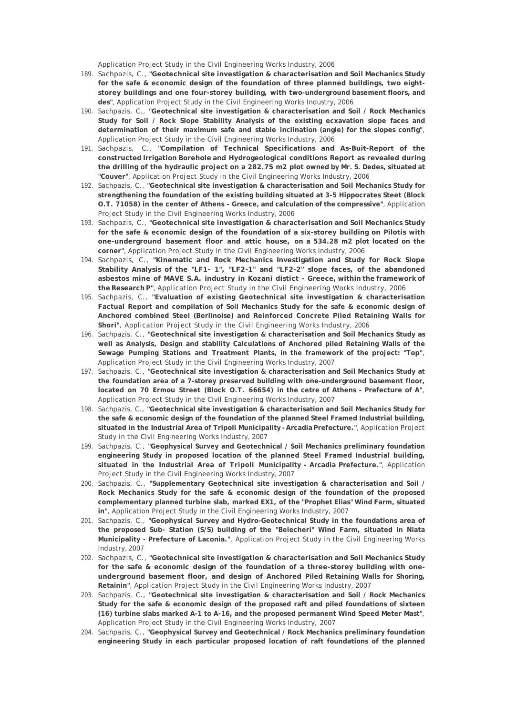Application Project Study in the Civil Engineering Works Industry, 2006

- 189. Sachpazis, C., **"Geotechnical site investigation & characterisation and Soil Mechanics Study for the safe & economic design of the foundation of three planned buildings, two eightstorey buildings and one four-storey building, with two-underground basement floors, and des"**, Application Project Study in the Civil Engineering Works Industry, 2006
- 190. Sachpazis, C., **"Geotechnical site investigation & characterisation and Soil / Rock Mechanics Study for Soil / Rock Slope Stability Analysis of the existing ecxavation slope faces and determination of their maximum safe and stable inclination (angle) for the slopes config"**, Application Project Study in the Civil Engineering Works Industry, 2006
- 191. Sachpazis, C., **"Compilation of Technical Specifications and As-Buit-Report of the constructed Irrigation Borehole and Hydrogeological conditions Report as revealed during the drilling of the hydraulic project on a 282.75 m2 plot owned by Mr. S. Dedes, situated at "Couver"**, Application Project Study in the Civil Engineering Works Industry, 2006
- 192. Sachpazis, C., **"Geotechnical site investigation & characterisation and Soil Mechanics Study for strengthening the foundation of the existing building situated at 3-5 Hippocrates Steet (Block O.T. 71058) in the center of Athens - Greece, and calculation of the compressive"**, Application Project Study in the Civil Engineering Works Industry, 2006
- 193. Sachpazis, C., **"Geotechnical site investigation & characterisation and Soil Mechanics Study for the safe & economic design of the foundation of a six-storey building on Pilotis with one-underground basement floor and attic house, on a 534.28 m2 plot located on the corner"**, Application Project Study in the Civil Engineering Works Industry, 2006
- 194. Sachpazis, C., **"Kinematic and Rock Mechanics Investigation and Study for Rock Slope Stability Analysis of the "LF1- 1", "LF2-1" and "LF2-2" slope faces, of the abandoned asbestos mine of MAVE S.A. industry in Kozani distict - Greece, within the framework of the Research P"**, Application Project Study in the Civil Engineering Works Industry, 2006
- 195. Sachpazis, C., **"Evaluation of existing Geotechnical site investigation & characterisation Factual Report and compilation of Soil Mechanics Study for the safe & economic design of Anchored combined Steel (Berlinoise) and Reinforced Concrete Piled Retaining Walls for Shori"**, Application Project Study in the Civil Engineering Works Industry, 2006
- 196. Sachpazis, C., **"Geotechnical site investigation & characterisation and Soil Mechanics Study as well as Analysis, Design and stability Calculations of Anchored piled Retaining Walls of the Sewage Pumping Stations and Treatment Plants, in the framework of the project: "Top"**, Application Project Study in the Civil Engineering Works Industry, 2007
- 197. Sachpazis, C., **"Geotechnical site investigation & characterisation and Soil Mechanics Study at the foundation area of a 7-storey preserved building with one-underground basement floor, located on 70 Ermou Street (Block O.T. 66654) in the cetre of Athens - Prefecture of A"**, Application Project Study in the Civil Engineering Works Industry, 2007
- 198. Sachpazis, C., **"Geotechnical site investigation & characterisation and Soil Mechanics Study for the safe & economic design of the foundation of the planned Steel Framed Industrial building, situated in the Industrial Area of Tripoli Municipality - Arcadia Prefecture."**, Application Project Study in the Civil Engineering Works Industry, 2007
- 199. Sachpazis, C., **"Geophysical Survey and Geotechnical / Soil Mechanics preliminary foundation engineering Study in proposed location of the planned Steel Framed Industrial building, situated in the Industrial Area of Tripoli Municipality - Arcadia Prefecture."**, Application Project Study in the Civil Engineering Works Industry, 2007
- 200. Sachpazis, C., **"Supplementary Geotechnical site investigation & characterisation and Soil / Rock Mechanics Study for the safe & economic design of the foundation of the proposed complementary planned turbine slab, marked EX1, of the "Prophet Elias" Wind Farm, situated in"**, Application Project Study in the Civil Engineering Works Industry, 2007
- 201. Sachpazis, C., **"Geophysical Survey and Hydro-Geotechnical Study in the foundations area of the proposed Sub- Station (S/S) building of the "Belecheri" Wind Farm, situated in Niata Municipality - Prefecture of Laconia."**, Application Project Study in the Civil Engineering Works Industry, 2007
- 202. Sachpazis, C., **"Geotechnical site investigation & characterisation and Soil Mechanics Study for the safe & economic design of the foundation of a three-storey building with oneunderground basement floor, and design of Anchored Piled Retaining Walls for Shoring, Retainin"**, Application Project Study in the Civil Engineering Works Industry, 2007
- 203. Sachpazis, C., **"Geotechnical site investigation & characterisation and Soil / Rock Mechanics Study for the safe & economic design of the proposed raft and piled foundations of sixteen (16) turbine slabs marked A-1 to A-16, and the proposed permanent Wind Speed Meter Mast"**, Application Project Study in the Civil Engineering Works Industry, 2007
- 204. Sachpazis, C., **"Geophysical Survey and Geotechnical / Rock Mechanics preliminary foundation engineering Study in each particular proposed location of raft foundations of the planned**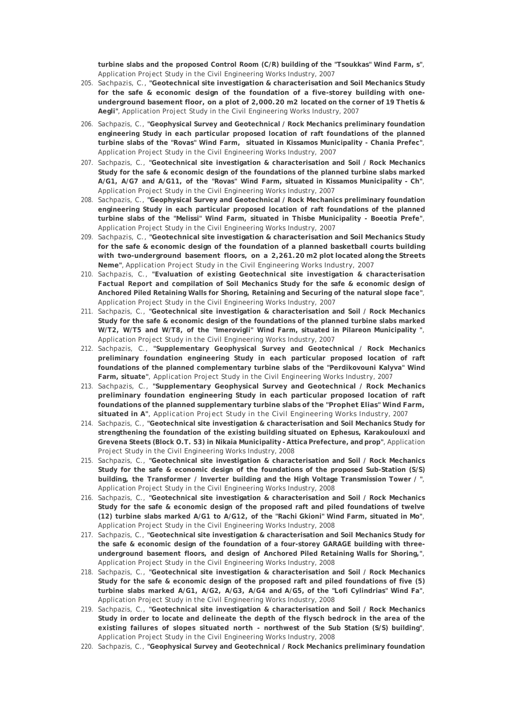**turbine slabs and the proposed Control Room (C/R) building of the "Tsoukkas" Wind Farm, s"**, Application Project Study in the Civil Engineering Works Industry, 2007

- 205. Sachpazis, C., **"Geotechnical site investigation & characterisation and Soil Mechanics Study for the safe & economic design of the foundation of a five-storey building with oneunderground basement floor, on a plot of 2,000.20 m2 located on the corner of 19 Thetis & Aegli"**, Application Project Study in the Civil Engineering Works Industry, 2007
- 206. Sachpazis, C., **"Geophysical Survey and Geotechnical / Rock Mechanics preliminary foundation engineering Study in each particular proposed location of raft foundations of the planned turbine slabs of the "Rovas" Wind Farm, situated in Kissamos Municipality - Chania Prefec"**, Application Project Study in the Civil Engineering Works Industry, 2007
- 207. Sachpazis, C., **"Geotechnical site investigation & characterisation and Soil / Rock Mechanics Study for the safe & economic design of the foundations of the planned turbine slabs marked A/G1, A/G7 and A/G11, of the "Rovas" Wind Farm, situated in Kissamos Municipality - Ch"**, Application Project Study in the Civil Engineering Works Industry, 2007
- 208. Sachpazis, C., **"Geophysical Survey and Geotechnical / Rock Mechanics preliminary foundation engineering Study in each particular proposed location of raft foundations of the planned turbine slabs of the "Melissi" Wind Farm, situated in Thisbe Municipality - Boeotia Prefe"**, Application Project Study in the Civil Engineering Works Industry, 2007
- 209. Sachpazis, C., **"Geotechnical site investigation & characterisation and Soil Mechanics Study for the safe & economic design of the foundation of a planned basketball courts building with two-underground basement floors, on a 2,261.20 m2 plot located along the Streets Neme"**, Application Project Study in the Civil Engineering Works Industry, 2007
- 210. Sachpazis, C., **"Evaluation of existing Geotechnical site investigation & characterisation Factual Report and compilation of Soil Mechanics Study for the safe & economic design of Anchored Piled Retaining Walls for Shoring, Retaining and Securing of the natural slope face"**, Application Project Study in the Civil Engineering Works Industry, 2007
- 211. Sachpazis, C., **"Geotechnical site investigation & characterisation and Soil / Rock Mechanics Study for the safe & economic design of the foundations of the planned turbine slabs marked W/T2, W/T5 and W/T8, of the "Imerovigli" Wind Farm, situated in Pilareon Municipality "**, Application Project Study in the Civil Engineering Works Industry, 2007
- 212. Sachpazis, C., **"Supplementary Geophysical Survey and Geotechnical / Rock Mechanics preliminary foundation engineering Study in each particular proposed location of raft foundations of the planned complementary turbine slabs of the "Perdikovouni Kalyva" Wind Farm, situate"**, Application Project Study in the Civil Engineering Works Industry, 2007
- 213. Sachpazis, C., **"Supplementary Geophysical Survey and Geotechnical / Rock Mechanics preliminary foundation engineering Study in each particular proposed location of raft foundations of the planned supplementary turbine slabs of the "Prophet Elias" Wind Farm, situated in A"**, Application Project Study in the Civil Engineering Works Industry, 2007
- 214. Sachpazis, C., **"Geotechnical site investigation & characterisation and Soil Mechanics Study for strengthening the foundation of the existing building situated on Ephesus, Karakoulouxi and Grevena Steets (Block O.T. 53) in Nikaia Municipality - Attica Prefecture, and prop"**, Application Project Study in the Civil Engineering Works Industry, 2008
- 215. Sachpazis, C., **"Geotechnical site investigation & characterisation and Soil / Rock Mechanics Study for the safe & economic design of the foundations of the proposed Sub-Station (S/S) building, the Transformer / Inverter building and the High Voltage Transmission Tower / "**, Application Project Study in the Civil Engineering Works Industry, 2008
- 216. Sachpazis, C., **"Geotechnical site investigation & characterisation and Soil / Rock Mechanics Study for the safe & economic design of the proposed raft and piled foundations of twelve (12) turbine slabs marked A/G1 to A/G12, of the "Rachi Gkioni" Wind Farm, situated in Mo"**, Application Project Study in the Civil Engineering Works Industry, 2008
- 217. Sachpazis, C., **"Geotechnical site investigation & characterisation and Soil Mechanics Study for the safe & economic design of the foundation of a four-storey GARAGE building with threeunderground basement floors, and design of Anchored Piled Retaining Walls for Shoring,"**, Application Project Study in the Civil Engineering Works Industry, 2008
- 218. Sachpazis, C., **"Geotechnical site investigation & characterisation and Soil / Rock Mechanics Study for the safe & economic design of the proposed raft and piled foundations of five (5) turbine slabs marked A/G1, A/G2, A/G3, A/G4 and A/G5, of the "Lofi Cylindrias" Wind Fa"**, Application Project Study in the Civil Engineering Works Industry, 2008
- 219. Sachpazis, C., **"Geotechnical site investigation & characterisation and Soil / Rock Mechanics Study in order to locate and delineate the depth of the flysch bedrock in the area of the existing failures of slopes situated north - northwest of the Sub Station (S/S) building"**, Application Project Study in the Civil Engineering Works Industry, 2008
- 220. Sachpazis, C., **"Geophysical Survey and Geotechnical / Rock Mechanics preliminary foundation**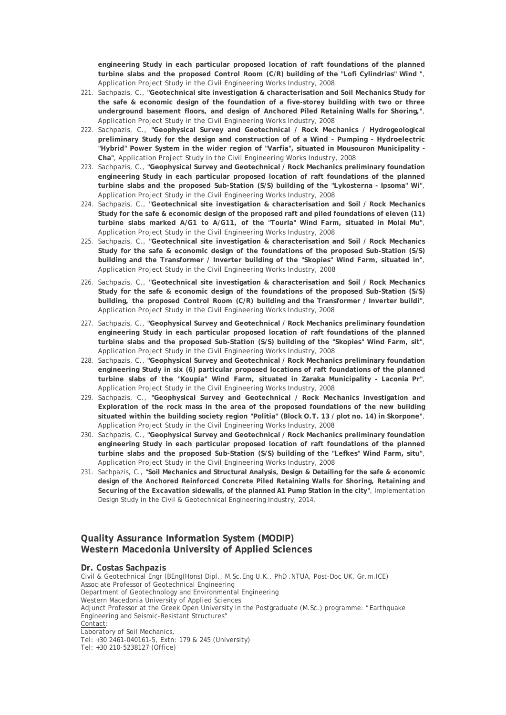**engineering Study in each particular proposed location of raft foundations of the planned turbine slabs and the proposed Control Room (C/R) building of the "Lofi Cylindrias" Wind "**, Application Project Study in the Civil Engineering Works Industry, 2008

- 221. Sachpazis, C., **"Geotechnical site investigation & characterisation and Soil Mechanics Study for the safe & economic design of the foundation of a five-storey building with two or three underground basement floors, and design of Anchored Piled Retaining Walls for Shoring,"**, Application Project Study in the Civil Engineering Works Industry, 2008
- 222. Sachpazis, C., **"Geophysical Survey and Geotechnical / Rock Mechanics / Hydrogeological preliminary Study for the design and construction of of a Wind - Pumping - Hydroelectric "Hybrid" Power System in the wider region of "Varfia", situated in Mousouron Municipality - Cha"**, Application Project Study in the Civil Engineering Works Industry, 2008
- 223. Sachpazis, C., **"Geophysical Survey and Geotechnical / Rock Mechanics preliminary foundation engineering Study in each particular proposed location of raft foundations of the planned turbine slabs and the proposed Sub-Station (S/S) building of the "Lykosterna - Ipsoma" Wi"**, Application Project Study in the Civil Engineering Works Industry, 2008
- 224. Sachpazis, C., **"Geotechnical site investigation & characterisation and Soil / Rock Mechanics Study for the safe & economic design of the proposed raft and piled foundations of eleven (11) turbine slabs marked A/G1 to A/G11, of the "Tourla" Wind Farm, situated in Molai Mu"**, Application Project Study in the Civil Engineering Works Industry, 2008
- 225. Sachpazis, C., **"Geotechnical site investigation & characterisation and Soil / Rock Mechanics Study for the safe & economic design of the foundations of the proposed Sub-Station (S/S) building and the Transformer / Inverter building of the "Skopies" Wind Farm, situated in"**, Application Project Study in the Civil Engineering Works Industry, 2008
- 226. Sachpazis, C., **"Geotechnical site investigation & characterisation and Soil / Rock Mechanics Study for the safe & economic design of the foundations of the proposed Sub-Station (S/S) building, the proposed Control Room (C/R) building and the Transformer / Inverter buildi"**, Application Project Study in the Civil Engineering Works Industry, 2008
- 227. Sachpazis, C., **"Geophysical Survey and Geotechnical / Rock Mechanics preliminary foundation engineering Study in each particular proposed location of raft foundations of the planned turbine slabs and the proposed Sub-Station (S/S) building of the "Skopies" Wind Farm, sit"**, Application Project Study in the Civil Engineering Works Industry, 2008
- 228. Sachpazis, C., **"Geophysical Survey and Geotechnical / Rock Mechanics preliminary foundation engineering Study in six (6) particular proposed locations of raft foundations of the planned turbine slabs of the "Koupia" Wind Farm, situated in Zaraka Municipality - Laconia Pr"**, Application Project Study in the Civil Engineering Works Industry, 2008
- 229. Sachpazis, C., **"Geophysical Survey and Geotechnical / Rock Mechanics investigation and Exploration of the rock mass in the area of the proposed foundations of the new building situated within the building society region "Politia" (Block O.T. 13 / plot no. 14) in Skorpone"**, Application Project Study in the Civil Engineering Works Industry, 2008
- 230. Sachpazis, C., **"Geophysical Survey and Geotechnical / Rock Mechanics preliminary foundation engineering Study in each particular proposed location of raft foundations of the planned turbine slabs and the proposed Sub-Station (S/S) building of the "Lefkes" Wind Farm, situ"**, Application Project Study in the Civil Engineering Works Industry, 2008
- 231. Sachpazis, C., **"Soil Mechanics and Structural Analysis, Design & Detailing for the safe & economic design of the Anchored Reinforced Concrete Piled Retaining Walls for Shoring, Retaining and Securing of the Excavation sidewalls, of the planned A1 Pump Station in the city"**, Implementation Design Study in the Civil & Geotechnical Engineering Industry, 2014.

## **Quality Assurance Information System (MODIP) Western Macedonia University of Applied Sciences**

#### **Dr. Costas Sachpazis**

Civil & Geotechnical Engr (BEng(Hons) Dipl., M.Sc.Eng U.K., PhD .NTUA, Post-Doc UK, Gr.m.ICE) Associate Professor of Geotechnical Engineering Department of Geotechnology and Environmental Engineering Western Macedonia University of Applied Sciences Adjunct Professor at the Greek Open University in the Postgraduate (M.Sc.) programme: "Earthquake Engineering and Seismic-Resistant Structures" Contact: Laboratory of Soil Mechanics, Tel: +30 2461-040161-5, Extn: 179 & 245 (University) Tel: +30 210-5238127 (Office)